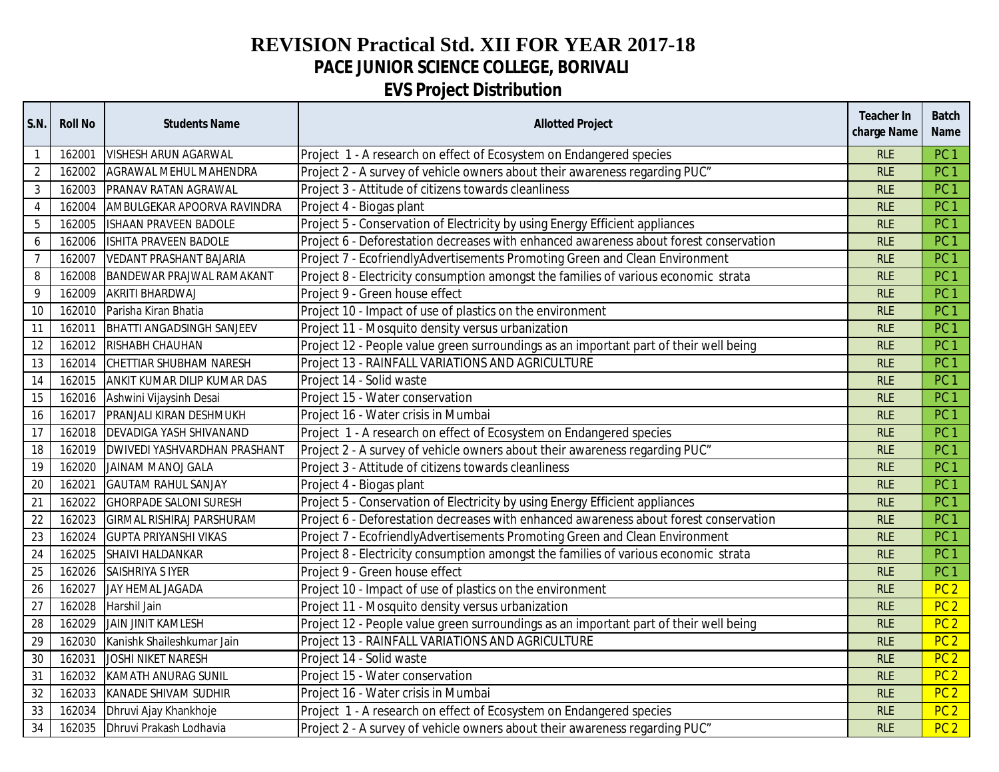## **REVISION Practical Std. XII FOR YEAR 2017-18 PACE JUNIOR SCIENCE COLLEGE, BORIVALI EVS Project Distribution**

| S.N.             | <b>Roll No</b> | <b>Students Name</b>                  | <b>Allotted Project</b>                                                               | <b>Teacher In</b><br>charge Name | <b>Batch</b><br><b>Name</b> |
|------------------|----------------|---------------------------------------|---------------------------------------------------------------------------------------|----------------------------------|-----------------------------|
| $\overline{1}$   | 162001         | <b>VISHESH ARUN AGARWAL</b>           | Project 1 - A research on effect of Ecosystem on Endangered species                   | <b>RLE</b>                       | PC <sub>1</sub>             |
| $\overline{2}$   | 162002         | AGRAWAL MEHUL MAHENDRA                | Project 2 - A survey of vehicle owners about their awareness regarding PUC"           | <b>RLE</b>                       | PC <sub>1</sub>             |
| $\mathbf{3}$     | 162003         | PRANAV RATAN AGRAWAL                  | Project 3 - Attitude of citizens towards cleanliness                                  | <b>RLE</b>                       | PC <sub>1</sub>             |
| $\overline{4}$   | 162004         | AMBULGEKAR APOORVA RAVINDRA           | Project 4 - Biogas plant                                                              | <b>RLE</b>                       | PC <sub>1</sub>             |
| $\overline{5}$   | 162005         | <b>ISHAAN PRAVEEN BADOLE</b>          | Project 5 - Conservation of Electricity by using Energy Efficient appliances          | <b>RLE</b>                       | PC <sub>1</sub>             |
| $\boldsymbol{6}$ | 162006         | <b>ISHITA PRAVEEN BADOLE</b>          | Project 6 - Deforestation decreases with enhanced awareness about forest conservation | <b>RLE</b>                       | PC <sub>1</sub>             |
| $\overline{7}$   | 162007         | <b>VEDANT PRASHANT BAJARIA</b>        | Project 7 - EcofriendlyAdvertisements Promoting Green and Clean Environment           | <b>RLE</b>                       | PC <sub>1</sub>             |
| 8                | 162008         | <b>BANDEWAR PRAJWAL RAMAKANT</b>      | Project 8 - Electricity consumption amongst the families of various economic strata   | <b>RLE</b>                       | PC <sub>1</sub>             |
| 9                | 162009         | AKRITI BHARDWAJ                       | Project 9 - Green house effect                                                        | <b>RLE</b>                       | PC <sub>1</sub>             |
| 10               | 162010         | Parisha Kiran Bhatia                  | Project 10 - Impact of use of plastics on the environment                             | <b>RLE</b>                       | PC <sub>1</sub>             |
| 11               | 162011         | <b>BHATTI ANGADSINGH SANJEEV</b>      | Project 11 - Mosquito density versus urbanization                                     | <b>RLE</b>                       | PC <sub>1</sub>             |
| 12               |                | 162012 RISHABH CHAUHAN                | Project 12 - People value green surroundings as an important part of their well being | <b>RLE</b>                       | PC <sub>1</sub>             |
| 13               |                | 162014 CHETTIAR SHUBHAM NARESH        | Project 13 - RAINFALL VARIATIONS AND AGRICULTURE                                      | <b>RLE</b>                       | PC <sub>1</sub>             |
| 14               | 162015         | ANKIT KUMAR DILIP KUMAR DAS           | Project 14 - Solid waste                                                              | <b>RLE</b>                       | PC <sub>1</sub>             |
| 15               |                | 162016 Ashwini Vijaysinh Desai        | Project 15 - Water conservation                                                       | <b>RLE</b>                       | PC <sub>1</sub>             |
| 16               | 162017         | PRANJALI KIRAN DESHMUKH               | Project 16 - Water crisis in Mumbai                                                   | <b>RLE</b>                       | PC <sub>1</sub>             |
| 17               |                | 162018   DEVADIGA YASH SHIVANAND      | Project 1 - A research on effect of Ecosystem on Endangered species                   | <b>RLE</b>                       | PC <sub>1</sub>             |
| $18\,$           |                | 162019   DWIVEDI YASHVARDHAN PRASHANT | Project 2 - A survey of vehicle owners about their awareness regarding PUC"           | <b>RLE</b>                       | PC <sub>1</sub>             |
| 19               | 162020         | <b>JAINAM MANOJ GALA</b>              | Project 3 - Attitude of citizens towards cleanliness                                  | <b>RLE</b>                       | PC <sub>1</sub>             |
| 20               | 162021         | <b>GAUTAM RAHUL SANJAY</b>            | Project 4 - Biogas plant                                                              | <b>RLE</b>                       | PC <sub>1</sub>             |
| 21               | 162022         | <b>GHORPADE SALONI SURESH</b>         | Project 5 - Conservation of Electricity by using Energy Efficient appliances          | <b>RLE</b>                       | PC <sub>1</sub>             |
| $\overline{22}$  | 162023         | <b>GIRMAL RISHIRAJ PARSHURAM</b>      | Project 6 - Deforestation decreases with enhanced awareness about forest conservation | <b>RLE</b>                       | PC <sub>1</sub>             |
| 23               | 162024         | <b>GUPTA PRIYANSHI VIKAS</b>          | Project 7 - EcofriendlyAdvertisements Promoting Green and Clean Environment           | <b>RLE</b>                       | PC <sub>1</sub>             |
| 24               | 162025         | SHAIVI HALDANKAR                      | Project 8 - Electricity consumption amongst the families of various economic strata   | <b>RLE</b>                       | PC <sub>1</sub>             |
| 25               | 162026         | SAISHRIYA S IYER                      | Project 9 - Green house effect                                                        | <b>RLE</b>                       | PC <sub>1</sub>             |
| 26               | 162027         | JAY HEMAL JAGADA                      | Project 10 - Impact of use of plastics on the environment                             | <b>RLE</b>                       | PC <sub>2</sub>             |
| 27               | 162028         | Harshil Jain                          | Project 11 - Mosquito density versus urbanization                                     | <b>RLE</b>                       | PC <sub>2</sub>             |
| 28               | 162029         | <b>JAIN JINIT KAMLESH</b>             | Project 12 - People value green surroundings as an important part of their well being | <b>RLE</b>                       | PC <sub>2</sub>             |
| 29               | 162030         | Kanishk Shaileshkumar Jain            | Project 13 - RAINFALL VARIATIONS AND AGRICULTURE                                      | <b>RLE</b>                       | PC <sub>2</sub>             |
| 30               | 162031         | JOSHI NIKET NARESH                    | Project 14 - Solid waste                                                              | <b>RLE</b>                       | PC <sub>2</sub>             |
| 31               | 162032         | KAMATH ANURAG SUNIL                   | Project 15 - Water conservation                                                       | <b>RLE</b>                       | PC <sub>2</sub>             |
| 32               | 162033         | KANADE SHIVAM SUDHIR                  | Project 16 - Water crisis in Mumbai                                                   | <b>RLE</b>                       | PC <sub>2</sub>             |
| 33               | 162034         | Dhruvi Ajay Khankhoje                 | Project 1 - A research on effect of Ecosystem on Endangered species                   | <b>RLE</b>                       | PC <sub>2</sub>             |
| 34               | 162035         | Dhruvi Prakash Lodhavia               | Project 2 - A survey of vehicle owners about their awareness regarding PUC"           | <b>RLE</b>                       | PC <sub>2</sub>             |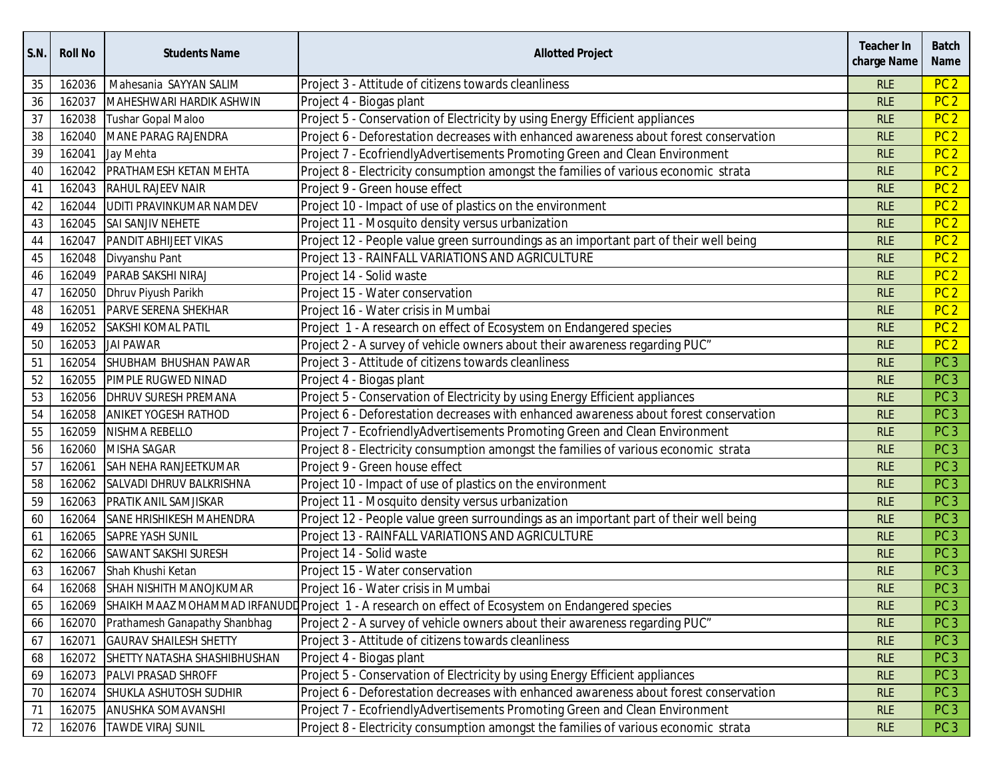| <b>S.N.</b> | <b>Roll No</b> | <b>Students Name</b>                | <b>Allotted Project</b>                                                                           | <b>Teacher In</b><br>charge Name | <b>Batch</b><br><b>Name</b> |
|-------------|----------------|-------------------------------------|---------------------------------------------------------------------------------------------------|----------------------------------|-----------------------------|
| 35          | 162036         | Mahesania SAYYAN SALIM              | Project 3 - Attitude of citizens towards cleanliness                                              | <b>RLE</b>                       | PC <sub>2</sub>             |
| 36          | 162037         | MAHESHWARI HARDIK ASHWIN            | Project 4 - Biogas plant                                                                          | <b>RLE</b>                       | PC <sub>2</sub>             |
| 37          | 162038         | <b>Tushar Gopal Maloo</b>           | Project 5 - Conservation of Electricity by using Energy Efficient appliances                      | <b>RLE</b>                       | PC <sub>2</sub>             |
| 38          | 162040         | <b>MANE PARAG RAJENDRA</b>          | Project 6 - Deforestation decreases with enhanced awareness about forest conservation             | <b>RLE</b>                       | PC <sub>2</sub>             |
| 39          | 162041         | Jay Mehta                           | Project 7 - EcofriendlyAdvertisements Promoting Green and Clean Environment                       | <b>RLE</b>                       | PC <sub>2</sub>             |
| 40          | 162042         | PRATHAMESH KETAN MEHTA              | Project 8 - Electricity consumption amongst the families of various economic strata               | <b>RLE</b>                       | PC <sub>2</sub>             |
| 41          | 162043         | RAHUL RAJEEV NAIR                   | Project 9 - Green house effect                                                                    | <b>RLE</b>                       | PC <sub>2</sub>             |
| 42          | 162044         | UDITI PRAVINKUMAR NAMDEV            | Project 10 - Impact of use of plastics on the environment                                         | <b>RLE</b>                       | PC <sub>2</sub>             |
| 43          | 162045         | SAI SANJIV NEHETE                   | Project 11 - Mosquito density versus urbanization                                                 | <b>RLE</b>                       | PC <sub>2</sub>             |
| 44          | 162047         | PANDIT ABHIJEET VIKAS               | Project 12 - People value green surroundings as an important part of their well being             | <b>RLE</b>                       | PC <sub>2</sub>             |
| 45          | 162048         | Divyanshu Pant                      | Project 13 - RAINFALL VARIATIONS AND AGRICULTURE                                                  | <b>RLE</b>                       | PC <sub>2</sub>             |
| 46          | 162049         | PARAB SAKSHI NIRAJ                  | Project 14 - Solid waste                                                                          | <b>RLE</b>                       | PC <sub>2</sub>             |
| 47          | 162050         | Dhruv Piyush Parikh                 | Project 15 - Water conservation                                                                   | <b>RLE</b>                       | PC <sub>2</sub>             |
| 48          | 162051         | PARVE SERENA SHEKHAR                | Project 16 - Water crisis in Mumbai                                                               | <b>RLE</b>                       | PC <sub>2</sub>             |
| 49          | 162052         | <b>SAKSHI KOMAL PATIL</b>           | Project 1 - A research on effect of Ecosystem on Endangered species                               | <b>RLE</b>                       | PC <sub>2</sub>             |
| 50          | 162053         | <b>JAI PAWAR</b>                    | Project 2 - A survey of vehicle owners about their awareness regarding PUC"                       | <b>RLE</b>                       | PC <sub>2</sub>             |
| 51          | 162054         | SHUBHAM BHUSHAN PAWAR               | Project 3 - Attitude of citizens towards cleanliness                                              | <b>RLE</b>                       | PC <sub>3</sub>             |
| 52          | 162055         | PIMPLE RUGWED NINAD                 | Project 4 - Biogas plant                                                                          | <b>RLE</b>                       | PC <sub>3</sub>             |
| 53          | 162056         | DHRUV SURESH PREMANA                | Project 5 - Conservation of Electricity by using Energy Efficient appliances                      | <b>RLE</b>                       | PC <sub>3</sub>             |
| 54          | 162058         | <b>ANIKET YOGESH RATHOD</b>         | Project 6 - Deforestation decreases with enhanced awareness about forest conservation             | <b>RLE</b>                       | PC <sub>3</sub>             |
| 55          | 162059         | NISHMA REBELLO                      | Project 7 - EcofriendlyAdvertisements Promoting Green and Clean Environment                       | <b>RLE</b>                       | PC <sub>3</sub>             |
| 56          | 162060         | <b>MISHA SAGAR</b>                  | Project 8 - Electricity consumption amongst the families of various economic strata               | <b>RLE</b>                       | PC <sub>3</sub>             |
| 57          | 162061         | SAH NEHA RANJEETKUMAR               | Project 9 - Green house effect                                                                    | <b>RLE</b>                       | PC <sub>3</sub>             |
| 58          | 162062         | SALVADI DHRUV BALKRISHNA            | Project 10 - Impact of use of plastics on the environment                                         | <b>RLE</b>                       | PC <sub>3</sub>             |
| 59          | 162063         | PRATIK ANIL SAMJISKAR               | Project 11 - Mosquito density versus urbanization                                                 | <b>RLE</b>                       | PC <sub>3</sub>             |
| 60          | 162064         | SANE HRISHIKESH MAHENDRA            | Project 12 - People value green surroundings as an important part of their well being             | <b>RLE</b>                       | PC <sub>3</sub>             |
| 61          | 162065         | <b>SAPRE YASH SUNIL</b>             | Project 13 - RAINFALL VARIATIONS AND AGRICULTURE                                                  | <b>RLE</b>                       | PC <sub>3</sub>             |
| 62          | 162066         | SAWANT SAKSHI SURESH                | Project 14 - Solid waste                                                                          | <b>RLE</b>                       | PC <sub>3</sub>             |
| 63          | 162067         | Shah Khushi Ketan                   | Project 15 - Water conservation                                                                   | <b>RLE</b>                       | PC <sub>3</sub>             |
| 64          | 162068         | SHAH NISHITH MANOJKUMAR             | Project 16 - Water crisis in Mumbai                                                               | <b>RLE</b>                       | PC <sub>3</sub>             |
| 65          | 162069         |                                     | SHAIKH MAAZ MOHAMMAD IRFANUDD Project 1 - A research on effect of Ecosystem on Endangered species | <b>RLE</b>                       | PC <sub>3</sub>             |
| 66          | 162070         | Prathamesh Ganapathy Shanbhag       | Project 2 - A survey of vehicle owners about their awareness regarding PUC"                       | <b>RLE</b>                       | PC <sub>3</sub>             |
| 67          | 162071         | <b>GAURAV SHAILESH SHETTY</b>       | Project 3 - Attitude of citizens towards cleanliness                                              | <b>RLE</b>                       | PC <sub>3</sub>             |
| 68          |                | 162072 SHETTY NATASHA SHASHIBHUSHAN | Project 4 - Biogas plant                                                                          | <b>RLE</b>                       | PC <sub>3</sub>             |
| 69          | 162073         | <b>PALVI PRASAD SHROFF</b>          | Project 5 - Conservation of Electricity by using Energy Efficient appliances                      | <b>RLE</b>                       | PC <sub>3</sub>             |
| $70\,$      | 162074         | SHUKLA ASHUTOSH SUDHIR              | Project 6 - Deforestation decreases with enhanced awareness about forest conservation             | <b>RLE</b>                       | PC <sub>3</sub>             |
| 71          | 162075         | <b>ANUSHKA SOMAVANSHI</b>           | Project 7 - EcofriendlyAdvertisements Promoting Green and Clean Environment                       | <b>RLE</b>                       | PC <sub>3</sub>             |
| $72\,$      | 162076         | <b>TAWDE VIRAJ SUNIL</b>            | Project 8 - Electricity consumption amongst the families of various economic strata               | <b>RLE</b>                       | PC <sub>3</sub>             |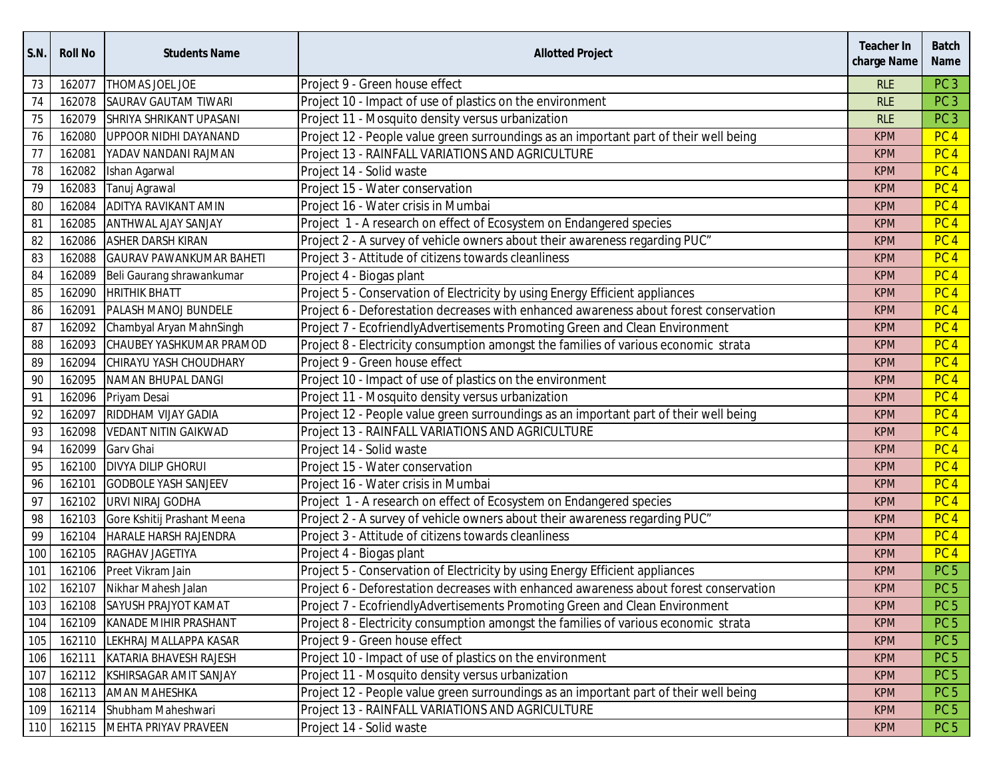| S.N. | <b>Roll No</b> | <b>Students Name</b>            | <b>Allotted Project</b>                                                               | <b>Teacher In</b><br>charge Name | <b>Batch</b><br><b>Name</b> |
|------|----------------|---------------------------------|---------------------------------------------------------------------------------------|----------------------------------|-----------------------------|
| 73   | 162077         | THOMAS JOEL JOE                 | Project 9 - Green house effect                                                        | <b>RLE</b>                       | PC <sub>3</sub>             |
| 74   | 162078         | <b>SAURAV GAUTAM TIWARI</b>     | Project 10 - Impact of use of plastics on the environment                             | <b>RLE</b>                       | PC <sub>3</sub>             |
| 75   | 162079         | SHRIYA SHRIKANT UPASANI         | Project 11 - Mosquito density versus urbanization                                     | <b>RLE</b>                       | PC <sub>3</sub>             |
| 76   | 162080         | UPPOOR NIDHI DAYANAND           | Project 12 - People value green surroundings as an important part of their well being | <b>KPM</b>                       | PC <sub>4</sub>             |
| 77   | 162081         | YADAV NANDANI RAJMAN            | Project 13 - RAINFALL VARIATIONS AND AGRICULTURE                                      | <b>KPM</b>                       | PC <sub>4</sub>             |
| 78   | 162082         | Ishan Agarwal                   | Project 14 - Solid waste                                                              | <b>KPM</b>                       | PC <sub>4</sub>             |
| 79   | 162083         | Tanuj Agrawal                   | Project 15 - Water conservation                                                       | <b>KPM</b>                       | PC <sub>4</sub>             |
| 80   | 162084         | ADITYA RAVIKANT AMIN            | Project 16 - Water crisis in Mumbai                                                   | <b>KPM</b>                       | PC <sub>4</sub>             |
| 81   | 162085         | <b>ANTHWAL AJAY SANJAY</b>      | Project 1 - A research on effect of Ecosystem on Endangered species                   | <b>KPM</b>                       | PC <sub>4</sub>             |
| 82   | 162086         | <b>ASHER DARSH KIRAN</b>        | Project 2 - A survey of vehicle owners about their awareness regarding PUC"           | <b>KPM</b>                       | PC <sub>4</sub>             |
| 83   | 162088         | <b>GAURAV PAWANKUMAR BAHETI</b> | Project 3 - Attitude of citizens towards cleanliness                                  | <b>KPM</b>                       | PC <sub>4</sub>             |
| 84   | 162089         | Beli Gaurang shrawankumar       | Project 4 - Biogas plant                                                              | <b>KPM</b>                       | PC <sub>4</sub>             |
| 85   | 162090         | <b>HRITHIK BHATT</b>            | Project 5 - Conservation of Electricity by using Energy Efficient appliances          | <b>KPM</b>                       | PC <sub>4</sub>             |
| 86   | 162091         | PALASH MANOJ BUNDELE            | Project 6 - Deforestation decreases with enhanced awareness about forest conservation | <b>KPM</b>                       | PC <sub>4</sub>             |
| 87   | 162092         | Chambyal Aryan MahnSingh        | Project 7 - EcofriendlyAdvertisements Promoting Green and Clean Environment           | <b>KPM</b>                       | PC <sub>4</sub>             |
| 88   | 162093         | CHAUBEY YASHKUMAR PRAMOD        | Project 8 - Electricity consumption amongst the families of various economic strata   | <b>KPM</b>                       | PC <sub>4</sub>             |
| 89   | 162094         | CHIRAYU YASH CHOUDHARY          | Project 9 - Green house effect                                                        | <b>KPM</b>                       | PC <sub>4</sub>             |
| 90   | 162095         | NAMAN BHUPAL DANGI              | Project 10 - Impact of use of plastics on the environment                             | <b>KPM</b>                       | PC <sub>4</sub>             |
| 91   | 162096         | Priyam Desai                    | Project 11 - Mosquito density versus urbanization                                     | <b>KPM</b>                       | PC <sub>4</sub>             |
| 92   | 162097         | RIDDHAM VIJAY GADIA             | Project 12 - People value green surroundings as an important part of their well being | <b>KPM</b>                       | PC <sub>4</sub>             |
| 93   | 162098         | <b>VEDANT NITIN GAIKWAD</b>     | Project 13 - RAINFALL VARIATIONS AND AGRICULTURE                                      | <b>KPM</b>                       | PC <sub>4</sub>             |
| 94   | 162099         | Garv Ghai                       | Project 14 - Solid waste                                                              | <b>KPM</b>                       | PC <sub>4</sub>             |
| 95   | 162100         | <b>DIVYA DILIP GHORUI</b>       | Project 15 - Water conservation                                                       | <b>KPM</b>                       | PC <sub>4</sub>             |
| 96   | 162101         | <b>GODBOLE YASH SANJEEV</b>     | Project 16 - Water crisis in Mumbai                                                   | <b>KPM</b>                       | PC <sub>4</sub>             |
| 97   | 162102         | <b>URVI NIRAJ GODHA</b>         | Project 1 - A research on effect of Ecosystem on Endangered species                   | <b>KPM</b>                       | PC <sub>4</sub>             |
| 98   | 162103         | Gore Kshitij Prashant Meena     | Project 2 - A survey of vehicle owners about their awareness regarding PUC"           | <b>KPM</b>                       | PC <sub>4</sub>             |
| 99   | 162104         | <b>HARALE HARSH RAJENDRA</b>    | Project 3 - Attitude of citizens towards cleanliness                                  | <b>KPM</b>                       | PC <sub>4</sub>             |
| 100  | 162105         | RAGHAV JAGETIYA                 | Project 4 - Biogas plant                                                              | <b>KPM</b>                       | PC <sub>4</sub>             |
| 101  | 162106         | Preet Vikram Jain               | Project 5 - Conservation of Electricity by using Energy Efficient appliances          | <b>KPM</b>                       | PC <sub>5</sub>             |
| 102  | 162107         | Nikhar Mahesh Jalan             | Project 6 - Deforestation decreases with enhanced awareness about forest conservation | <b>KPM</b>                       | PC <sub>5</sub>             |
| 103  |                | 162108 SAYUSH PRAJYOT KAMAT     | Project 7 - EcofriendlyAdvertisements Promoting Green and Clean Environment           | <b>KPM</b>                       | PC <sub>5</sub>             |
| 104  |                | 162109 KANADE MIHIR PRASHANT    | Project 8 - Electricity consumption amongst the families of various economic strata   | <b>KPM</b>                       | PC <sub>5</sub>             |
| 105  |                | 162110 LEKHRAJ MALLAPPA KASAR   | Project 9 - Green house effect                                                        | <b>KPM</b>                       | PC <sub>5</sub>             |
| 106  |                | 162111 KATARIA BHAVESH RAJESH   | Project 10 - Impact of use of plastics on the environment                             | <b>KPM</b>                       | PC <sub>5</sub>             |
| 107  |                | 162112 KSHIRSAGAR AMIT SANJAY   | Project 11 - Mosquito density versus urbanization                                     | <b>KPM</b>                       | PC <sub>5</sub>             |
| 108  | 162113         | <b>AMAN MAHESHKA</b>            | Project 12 - People value green surroundings as an important part of their well being | <b>KPM</b>                       | PC <sub>5</sub>             |
| 109  | 162114         | Shubham Maheshwari              | Project 13 - RAINFALL VARIATIONS AND AGRICULTURE                                      | <b>KPM</b>                       | PC <sub>5</sub>             |
| 110  |                | 162115 MEHTA PRIYAV PRAVEEN     | Project 14 - Solid waste                                                              | <b>KPM</b>                       | PC <sub>5</sub>             |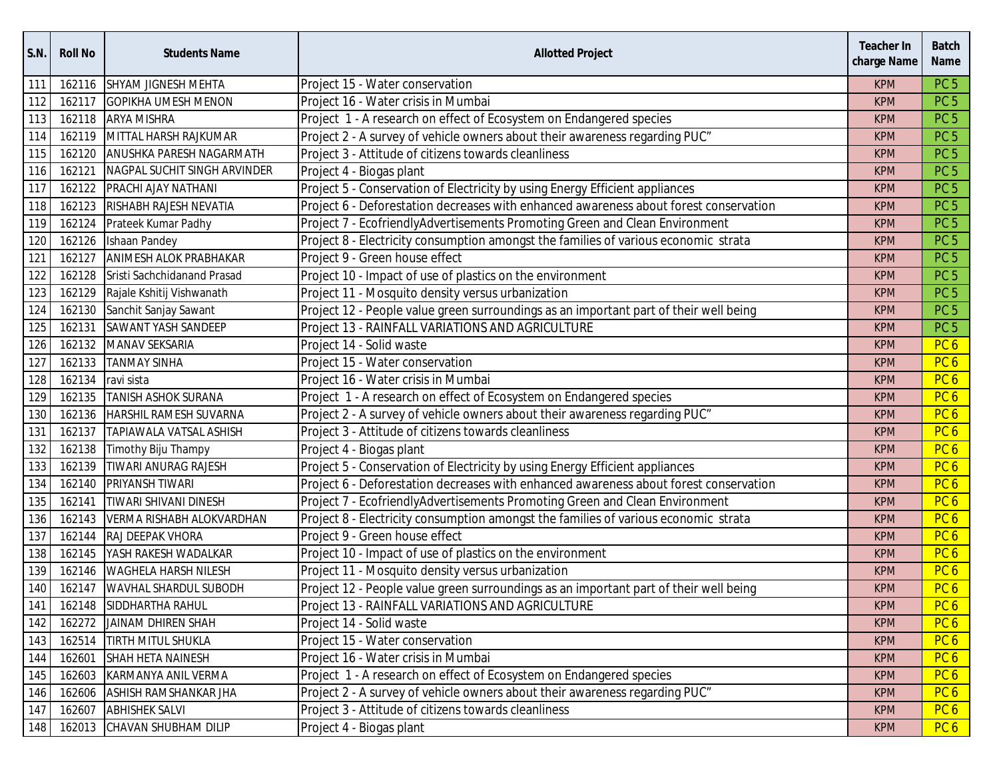| S.N. | <b>Roll No</b> | <b>Students Name</b>             | <b>Allotted Project</b>                                                               | <b>Teacher In</b><br>charge Name | <b>Batch</b><br><b>Name</b> |
|------|----------------|----------------------------------|---------------------------------------------------------------------------------------|----------------------------------|-----------------------------|
| 111  | 162116         | SHYAM JIGNESH MEHTA              | Project 15 - Water conservation                                                       | <b>KPM</b>                       | PC <sub>5</sub>             |
| 112  | 162117         | <b>GOPIKHA UMESH MENON</b>       | Project 16 - Water crisis in Mumbai                                                   | <b>KPM</b>                       | PC <sub>5</sub>             |
| 113  |                | 162118 ARYA MISHRA               | Project 1 - A research on effect of Ecosystem on Endangered species                   | <b>KPM</b>                       | PC <sub>5</sub>             |
| 114  |                | 162119 MITTAL HARSH RAJKUMAR     | Project 2 - A survey of vehicle owners about their awareness regarding PUC"           | <b>KPM</b>                       | PC <sub>5</sub>             |
| 115  | 162120         | ANUSHKA PARESH NAGARMATH         | Project 3 - Attitude of citizens towards cleanliness                                  | <b>KPM</b>                       | PC <sub>5</sub>             |
| 116  | 162121         | NAGPAL SUCHIT SINGH ARVINDER     | Project 4 - Biogas plant                                                              | <b>KPM</b>                       | PC <sub>5</sub>             |
| 117  |                | 162122 PRACHI AJAY NATHANI       | Project 5 - Conservation of Electricity by using Energy Efficient appliances          | <b>KPM</b>                       | PC <sub>5</sub>             |
| 118  | 162123         | RISHABH RAJESH NEVATIA           | Project 6 - Deforestation decreases with enhanced awareness about forest conservation | <b>KPM</b>                       | PC <sub>5</sub>             |
| 119  |                | 162124 Prateek Kumar Padhy       | Project 7 - EcofriendlyAdvertisements Promoting Green and Clean Environment           | <b>KPM</b>                       | PC <sub>5</sub>             |
| 120  | 162126         | Ishaan Pandey                    | Project 8 - Electricity consumption amongst the families of various economic strata   | <b>KPM</b>                       | PC <sub>5</sub>             |
| 121  | 162127         | <b>ANIMESH ALOK PRABHAKAR</b>    | Project 9 - Green house effect                                                        | <b>KPM</b>                       | PC <sub>5</sub>             |
| 122  | 162128         | Sristi Sachchidanand Prasad      | Project 10 - Impact of use of plastics on the environment                             | <b>KPM</b>                       | PC <sub>5</sub>             |
| 123  |                | 162129 Rajale Kshitij Vishwanath | Project 11 - Mosquito density versus urbanization                                     | <b>KPM</b>                       | PC <sub>5</sub>             |
| 124  | 162130         | Sanchit Sanjay Sawant            | Project 12 - People value green surroundings as an important part of their well being | <b>KPM</b>                       | PC <sub>5</sub>             |
| 125  | 162131         | SAWANT YASH SANDEEP              | Project 13 - RAINFALL VARIATIONS AND AGRICULTURE                                      | <b>KPM</b>                       | PC <sub>5</sub>             |
| 126  |                | 162132 MANAV SEKSARIA            | Project 14 - Solid waste                                                              | <b>KPM</b>                       | PC <sub>6</sub>             |
| 127  | 162133         | <b>TANMAY SINHA</b>              | Project 15 - Water conservation                                                       | <b>KPM</b>                       | PC <sub>6</sub>             |
| 128  | 162134         | ravi sista                       | Project 16 - Water crisis in Mumbai                                                   | <b>KPM</b>                       | PC <sub>6</sub>             |
| 129  | 162135         | <b>TANISH ASHOK SURANA</b>       | Project 1 - A research on effect of Ecosystem on Endangered species                   | <b>KPM</b>                       | PC <sub>6</sub>             |
| 130  | 162136         | <b>HARSHIL RAMESH SUVARNA</b>    | Project 2 - A survey of vehicle owners about their awareness regarding PUC"           | <b>KPM</b>                       | PC <sub>6</sub>             |
| 131  | 162137         | <b>TAPIAWALA VATSAL ASHISH</b>   | Project 3 - Attitude of citizens towards cleanliness                                  | <b>KPM</b>                       | PC <sub>6</sub>             |
| 132  | 162138         | Timothy Biju Thampy              | Project 4 - Biogas plant                                                              | <b>KPM</b>                       | PC <sub>6</sub>             |
| 133  | 162139         | <b>TIWARI ANURAG RAJESH</b>      | Project 5 - Conservation of Electricity by using Energy Efficient appliances          | <b>KPM</b>                       | PC <sub>6</sub>             |
| 134  | 162140         | <b>PRIYANSH TIWARI</b>           | Project 6 - Deforestation decreases with enhanced awareness about forest conservation | <b>KPM</b>                       | PC <sub>6</sub>             |
| 135  | 162141         | <b>TIWARI SHIVANI DINESH</b>     | Project 7 - EcofriendlyAdvertisements Promoting Green and Clean Environment           | <b>KPM</b>                       | PC <sub>6</sub>             |
| 136  | 162143         | VERMA RISHABH ALOKVARDHAN        | Project 8 - Electricity consumption amongst the families of various economic strata   | <b>KPM</b>                       | PC <sub>6</sub>             |
| 137  | 162144         | RAJ DEEPAK VHORA                 | Project 9 - Green house effect                                                        | <b>KPM</b>                       | PC <sub>6</sub>             |
| 138  |                | 162145 YASH RAKESH WADALKAR      | Project 10 - Impact of use of plastics on the environment                             | <b>KPM</b>                       | PC <sub>6</sub>             |
| 139  | 162146         | <b>WAGHELA HARSH NILESH</b>      | Project 11 - Mosquito density versus urbanization                                     | <b>KPM</b>                       | PC <sub>6</sub>             |
| 140  |                | 162147 WAVHAL SHARDUL SUBODH     | Project 12 - People value green surroundings as an important part of their well being | <b>KPM</b>                       | PC <sub>6</sub>             |
| 141  |                | 162148 SIDDHARTHA RAHUL          | Project 13 - RAINFALL VARIATIONS AND AGRICULTURE                                      | <b>KPM</b>                       | PC <sub>6</sub>             |
| 142  |                | 162272 JAINAM DHIREN SHAH        | Project 14 - Solid waste                                                              | <b>KPM</b>                       | PC <sub>6</sub>             |
| 143  |                | 162514 TIRTH MITUL SHUKLA        | Project 15 - Water conservation                                                       | <b>KPM</b>                       | PC <sub>6</sub>             |
| 144  |                | 162601 SHAH HETA NAINESH         | Project 16 - Water crisis in Mumbai                                                   | <b>KPM</b>                       | PC <sub>6</sub>             |
| 145  | 162603         | KARMANYA ANIL VERMA              | Project 1 - A research on effect of Ecosystem on Endangered species                   | <b>KPM</b>                       | PC <sub>6</sub>             |
| 146  | 162606         | ASHISH RAMSHANKAR JHA            | Project 2 - A survey of vehicle owners about their awareness regarding PUC"           | <b>KPM</b>                       | PC <sub>6</sub>             |
| 147  | 162607         | <b>ABHISHEK SALVI</b>            | Project 3 - Attitude of citizens towards cleanliness                                  | <b>KPM</b>                       | PC <sub>6</sub>             |
| 148  |                | 162013 CHAVAN SHUBHAM DILIP      | Project 4 - Biogas plant                                                              | <b>KPM</b>                       | PC 6                        |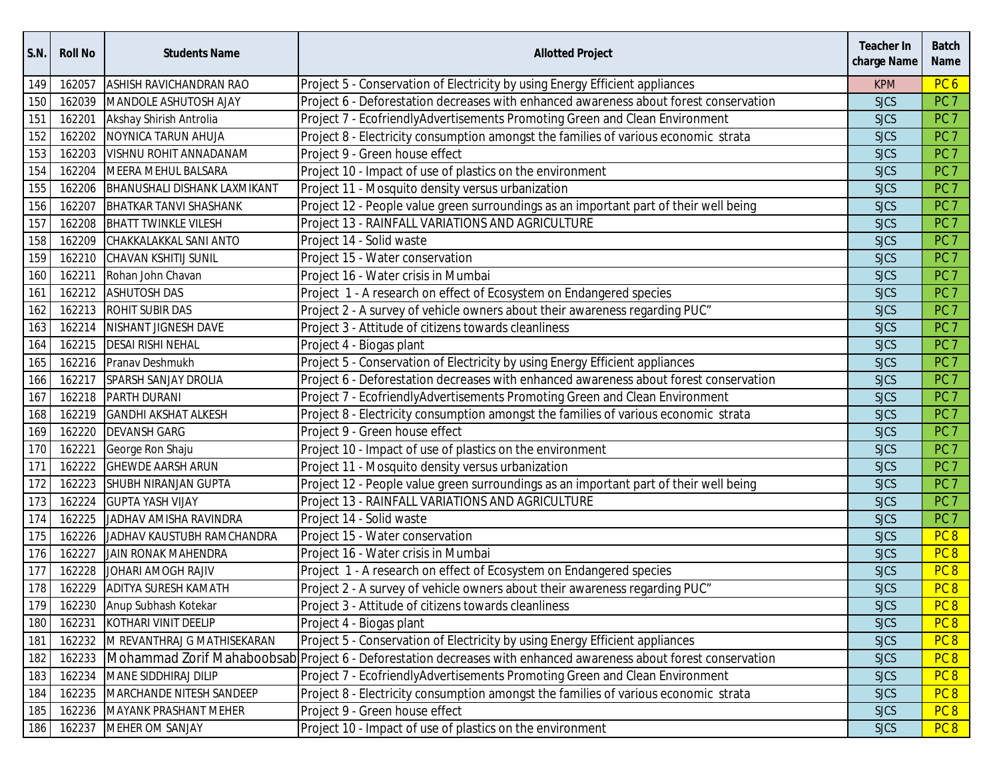| S.N. | <b>Roll No</b> | <b>Students Name</b>                | <b>Allotted Project</b>                                                                                          | <b>Teacher In</b><br>charge Name | <b>Batch</b><br><b>Name</b> |
|------|----------------|-------------------------------------|------------------------------------------------------------------------------------------------------------------|----------------------------------|-----------------------------|
| 149  | 162057         | <b>ASHISH RAVICHANDRAN RAO</b>      | Project 5 - Conservation of Electricity by using Energy Efficient appliances                                     | <b>KPM</b>                       | PC <sub>6</sub>             |
| 150  | 162039         | MANDOLE ASHUTOSH AJAY               | Project 6 - Deforestation decreases with enhanced awareness about forest conservation                            | <b>SJCS</b>                      | PC <sub>7</sub>             |
| 151  | 162201         | Akshay Shirish Antrolia             | Project 7 - EcofriendlyAdvertisements Promoting Green and Clean Environment                                      | <b>SJCS</b>                      | PC <sub>7</sub>             |
| 152  | 162202         | NOYNICA TARUN AHUJA                 | Project 8 - Electricity consumption amongst the families of various economic strata                              | <b>SJCS</b>                      | PC <sub>7</sub>             |
| 153  | 162203         | VISHNU ROHIT ANNADANAM              | Project 9 - Green house effect                                                                                   | <b>SJCS</b>                      | PC <sub>7</sub>             |
| 154  | 162204         | MEERA MEHUL BALSARA                 | Project 10 - Impact of use of plastics on the environment                                                        | <b>SJCS</b>                      | PC <sub>7</sub>             |
| 155  |                | 162206 BHANUSHALI DISHANK LAXMIKANT | Project 11 - Mosquito density versus urbanization                                                                | <b>SJCS</b>                      | PC <sub>7</sub>             |
| 156  | 162207         | <b>BHATKAR TANVI SHASHANK</b>       | Project 12 - People value green surroundings as an important part of their well being                            | <b>SJCS</b>                      | PC <sub>7</sub>             |
| 157  | 162208         | <b>BHATT TWINKLE VILESH</b>         | Project 13 - RAINFALL VARIATIONS AND AGRICULTURE                                                                 | <b>SJCS</b>                      | PC <sub>7</sub>             |
| 158  | 162209         | CHAKKALAKKAL SANI ANTO              | Project 14 - Solid waste                                                                                         | <b>SJCS</b>                      | PC <sub>7</sub>             |
| 159  | 162210         | CHAVAN KSHITIJ SUNIL                | Project 15 - Water conservation                                                                                  | <b>SJCS</b>                      | PC <sub>7</sub>             |
| 160  | 162211         | Rohan John Chavan                   | Project 16 - Water crisis in Mumbai                                                                              | <b>SJCS</b>                      | PC <sub>7</sub>             |
| 161  |                | 162212 ASHUTOSH DAS                 | Project 1 - A research on effect of Ecosystem on Endangered species                                              | <b>SJCS</b>                      | PC <sub>7</sub>             |
| 162  |                | 162213 ROHIT SUBIR DAS              | Project 2 - A survey of vehicle owners about their awareness regarding PUC"                                      | <b>SJCS</b>                      | PC <sub>7</sub>             |
| 163  | 162214         | NISHANT JIGNESH DAVE                | Project 3 - Attitude of citizens towards cleanliness                                                             | <b>SJCS</b>                      | PC <sub>7</sub>             |
| 164  | 162215         | <b>DESAI RISHI NEHAL</b>            | Project 4 - Biogas plant                                                                                         | <b>SJCS</b>                      | PC <sub>7</sub>             |
| 165  |                | 162216 Pranav Deshmukh              | Project 5 - Conservation of Electricity by using Energy Efficient appliances                                     | <b>SJCS</b>                      | PC <sub>7</sub>             |
| 166  | 162217         | <b>SPARSH SANJAY DROLIA</b>         | Project 6 - Deforestation decreases with enhanced awareness about forest conservation                            | <b>SJCS</b>                      | PC <sub>7</sub>             |
| 167  |                | 162218 PARTH DURANI                 | Project 7 - EcofriendlyAdvertisements Promoting Green and Clean Environment                                      | <b>SJCS</b>                      | PC <sub>7</sub>             |
| 168  | 162219         | <b>GANDHI AKSHAT ALKESH</b>         | Project 8 - Electricity consumption amongst the families of various economic strata                              | <b>SJCS</b>                      | PC <sub>7</sub>             |
| 169  | 162220         | <b>DEVANSH GARG</b>                 | Project 9 - Green house effect                                                                                   | <b>SJCS</b>                      | PC <sub>7</sub>             |
| 170  | 162221         | George Ron Shaju                    | Project 10 - Impact of use of plastics on the environment                                                        | <b>SJCS</b>                      | PC <sub>7</sub>             |
| 171  | 162222         | <b>GHEWDE AARSH ARUN</b>            | Project 11 - Mosquito density versus urbanization                                                                | <b>SJCS</b>                      | PC <sub>7</sub>             |
| 172  | 162223         | SHUBH NIRANJAN GUPTA                | Project 12 - People value green surroundings as an important part of their well being                            | <b>SJCS</b>                      | PC <sub>7</sub>             |
| 173  | 162224         | <b>GUPTA YASH VIJAY</b>             | Project 13 - RAINFALL VARIATIONS AND AGRICULTURE                                                                 | <b>SJCS</b>                      | PC <sub>7</sub>             |
| 174  | 162225         | JADHAV AMISHA RAVINDRA              | Project 14 - Solid waste                                                                                         | <b>SJCS</b>                      | PC <sub>7</sub>             |
| 175  | 162226         | JADHAV KAUSTUBH RAMCHANDRA          | Project 15 - Water conservation                                                                                  | <b>SJCS</b>                      | PC <sub>8</sub>             |
| 176  | 162227         | <b>JAIN RONAK MAHENDRA</b>          | Project 16 - Water crisis in Mumbai                                                                              | <b>SJCS</b>                      | PC <sub>8</sub>             |
| 177  | 162228         | JOHARI AMOGH RAJIV                  | Project 1 - A research on effect of Ecosystem on Endangered species                                              | <b>SJCS</b>                      | PC <sub>8</sub>             |
| 178  | 162229         | <b>ADITYA SURESH KAMATH</b>         | Project 2 - A survey of vehicle owners about their awareness regarding PUC"                                      | <b>SJCS</b>                      | PC <sub>8</sub>             |
| 179  |                | 162230 Anup Subhash Kotekar         | Project 3 - Attitude of citizens towards cleanliness                                                             | <b>SJCS</b>                      | PC <sub>8</sub>             |
| 180  |                | 162231 KOTHARI VINIT DEELIP         | Project 4 - Biogas plant                                                                                         | <b>SJCS</b>                      | PC <sub>8</sub>             |
| 181  |                | 162232 M REVANTHRAJ G MATHISEKARAN  | Project 5 - Conservation of Electricity by using Energy Efficient appliances                                     | <b>SJCS</b>                      | PC <sub>8</sub>             |
| 182  | 162233         |                                     | Mohammad Zorif Mahaboobsab Project 6 - Deforestation decreases with enhanced awareness about forest conservation | <b>SJCS</b>                      | PC <sub>8</sub>             |
| 183  | 162234         | MANE SIDDHIRAJ DILIP                | Project 7 - EcofriendlyAdvertisements Promoting Green and Clean Environment                                      | <b>SJCS</b>                      | PC <sub>8</sub>             |
| 184  | 162235         | MARCHANDE NITESH SANDEEP            | Project 8 - Electricity consumption amongst the families of various economic strata                              | <b>SJCS</b>                      | PC <sub>8</sub>             |
| 185  | 162236         | <b>MAYANK PRASHANT MEHER</b>        | Project 9 - Green house effect                                                                                   | <b>SJCS</b>                      | PC <sub>8</sub>             |
| 186  | 162237         | MEHER OM SANJAY                     | Project 10 - Impact of use of plastics on the environment                                                        | <b>SJCS</b>                      | PC 8                        |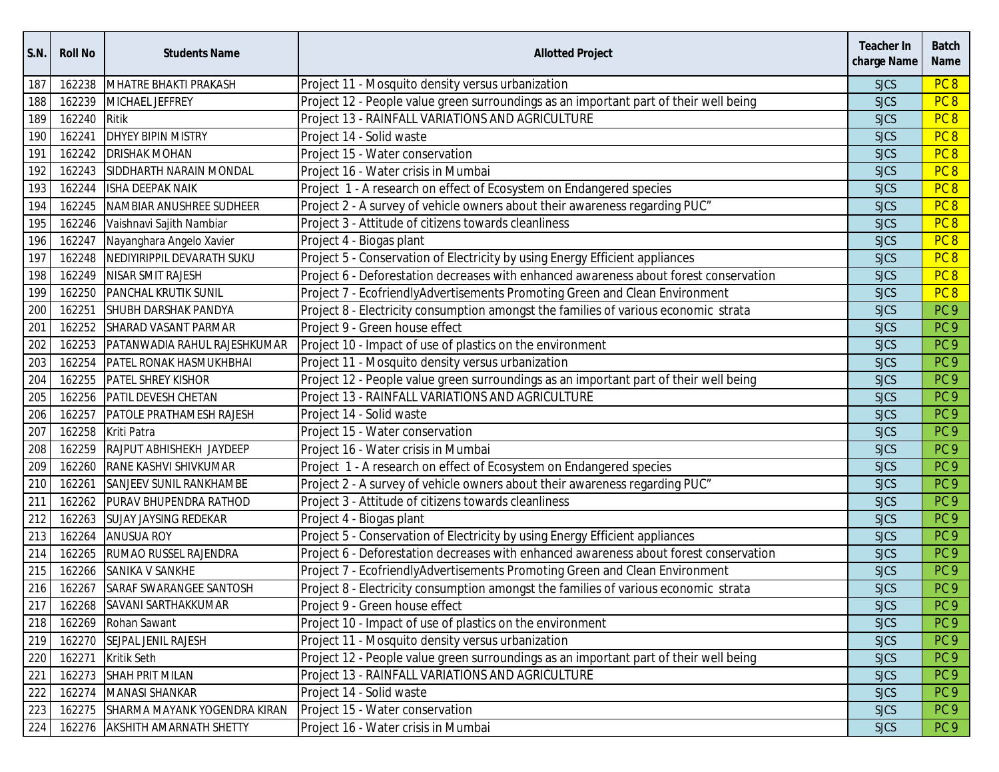| S.N. | <b>Roll No</b> | <b>Students Name</b>                | <b>Allotted Project</b>                                                               | <b>Teacher In</b><br>charge Name | <b>Batch</b><br><b>Name</b> |
|------|----------------|-------------------------------------|---------------------------------------------------------------------------------------|----------------------------------|-----------------------------|
| 187  | 162238         | MHATRE BHAKTI PRAKASH               | Project 11 - Mosquito density versus urbanization                                     | <b>SJCS</b>                      | PC <sub>8</sub>             |
| 188  | 162239         | MICHAEL JEFFREY                     | Project 12 - People value green surroundings as an important part of their well being | <b>SJCS</b>                      | PC <sub>8</sub>             |
| 189  | 162240         | Ritik                               | Project 13 - RAINFALL VARIATIONS AND AGRICULTURE                                      | <b>SJCS</b>                      | PC <sub>8</sub>             |
| 190  | 162241         | <b>DHYEY BIPIN MISTRY</b>           | Project 14 - Solid waste                                                              | <b>SJCS</b>                      | PC <sub>8</sub>             |
| 191  | 162242         | <b>DRISHAK MOHAN</b>                | Project 15 - Water conservation                                                       | <b>SJCS</b>                      | PC <sub>8</sub>             |
| 192  | 162243         | SIDDHARTH NARAIN MONDAL             | Project 16 - Water crisis in Mumbai                                                   | <b>SJCS</b>                      | PC <sub>8</sub>             |
| 193  |                | 162244 ISHA DEEPAK NAIK             | Project 1 - A research on effect of Ecosystem on Endangered species                   | <b>SJCS</b>                      | PC <sub>8</sub>             |
| 194  | 162245         | NAMBIAR ANUSHREE SUDHEER            | Project 2 - A survey of vehicle owners about their awareness regarding PUC"           | <b>SJCS</b>                      | PC <sub>8</sub>             |
| 195  | 162246         | Vaishnavi Sajith Nambiar            | Project 3 - Attitude of citizens towards cleanliness                                  | <b>SJCS</b>                      | PC <sub>8</sub>             |
| 196  | 162247         | Nayanghara Angelo Xavier            | Project 4 - Biogas plant                                                              | <b>SJCS</b>                      | PC <sub>8</sub>             |
| 197  | 162248         | NEDIYIRIPPIL DEVARATH SUKU          | Project 5 - Conservation of Electricity by using Energy Efficient appliances          | <b>SJCS</b>                      | PC <sub>8</sub>             |
| 198  | 162249         | NISAR SMIT RAJESH                   | Project 6 - Deforestation decreases with enhanced awareness about forest conservation | <b>SJCS</b>                      | PC <sub>8</sub>             |
| 199  | 162250         | <b>PANCHAL KRUTIK SUNIL</b>         | Project 7 - EcofriendlyAdvertisements Promoting Green and Clean Environment           | <b>SJCS</b>                      | PC <sub>8</sub>             |
| 200  | 162251         | SHUBH DARSHAK PANDYA                | Project 8 - Electricity consumption amongst the families of various economic strata   | <b>SJCS</b>                      | PC <sub>9</sub>             |
| 201  | 162252         | SHARAD VASANT PARMAR                | Project 9 - Green house effect                                                        | <b>SJCS</b>                      | PC <sub>9</sub>             |
| 202  | 162253         | PATANWADIA RAHUL RAJESHKUMAR        | Project 10 - Impact of use of plastics on the environment                             | <b>SJCS</b>                      | PC <sub>9</sub>             |
| 203  | 162254         | <b>PATEL RONAK HASMUKHBHAI</b>      | Project 11 - Mosquito density versus urbanization                                     | <b>SJCS</b>                      | PC <sub>9</sub>             |
| 204  | 162255         | <b>PATEL SHREY KISHOR</b>           | Project 12 - People value green surroundings as an important part of their well being | <b>SJCS</b>                      | PC <sub>9</sub>             |
| 205  | 162256         | PATIL DEVESH CHETAN                 | Project 13 - RAINFALL VARIATIONS AND AGRICULTURE                                      | <b>SJCS</b>                      | PC <sub>9</sub>             |
| 206  | 162257         | <b>PATOLE PRATHAMESH RAJESH</b>     | Project 14 - Solid waste                                                              | <b>SJCS</b>                      | PC <sub>9</sub>             |
| 207  | 162258         | Kriti Patra                         | Project 15 - Water conservation                                                       | <b>SJCS</b>                      | PC <sub>9</sub>             |
| 208  | 162259         | RAJPUT ABHISHEKH JAYDEEP            | Project 16 - Water crisis in Mumbai                                                   | <b>SJCS</b>                      | PC <sub>9</sub>             |
| 209  | 162260         | RANE KASHVI SHIVKUMAR               | Project 1 - A research on effect of Ecosystem on Endangered species                   | <b>SJCS</b>                      | PC <sub>9</sub>             |
| 210  | 162261         | SANJEEV SUNIL RANKHAMBE             | Project 2 - A survey of vehicle owners about their awareness regarding PUC"           | <b>SJCS</b>                      | PC <sub>9</sub>             |
| 211  | 162262         | PURAV BHUPENDRA RATHOD              | Project 3 - Attitude of citizens towards cleanliness                                  | <b>SJCS</b>                      | PC <sub>9</sub>             |
| 212  | 162263         | <b>SUJAY JAYSING REDEKAR</b>        | Project 4 - Biogas plant                                                              | <b>SJCS</b>                      | PC <sub>9</sub>             |
| 213  | 162264         | <b>ANUSUA ROY</b>                   | Project 5 - Conservation of Electricity by using Energy Efficient appliances          | <b>SJCS</b>                      | PC <sub>9</sub>             |
| 214  |                | 162265 RUMAO RUSSEL RAJENDRA        | Project 6 - Deforestation decreases with enhanced awareness about forest conservation | <b>SJCS</b>                      | PC <sub>9</sub>             |
| 215  | 162266         | SANIKA V SANKHE                     | Project 7 - EcofriendlyAdvertisements Promoting Green and Clean Environment           | <b>SJCS</b>                      | PC <sub>9</sub>             |
| 216  | 162267         | SARAF SWARANGEE SANTOSH             | Project 8 - Electricity consumption amongst the families of various economic strata   | <b>SJCS</b>                      | PC <sub>9</sub>             |
| 217  | 162268         | SAVANI SARTHAKKUMAR                 | Project 9 - Green house effect                                                        | <b>SJCS</b>                      | PC <sub>9</sub>             |
| 218  |                | 162269 Rohan Sawant                 | Project 10 - Impact of use of plastics on the environment                             | <b>SJCS</b>                      | PC <sub>9</sub>             |
| 219  | 162270         | SEJPAL JENIL RAJESH                 | Project 11 - Mosquito density versus urbanization                                     | <b>SJCS</b>                      | PC <sub>9</sub>             |
| 220  |                | 162271 Kritik Seth                  | Project 12 - People value green surroundings as an important part of their well being | <b>SJCS</b>                      | PC <sub>9</sub>             |
| 221  | 162273         | SHAH PRIT MILAN                     | Project 13 - RAINFALL VARIATIONS AND AGRICULTURE                                      | <b>SJCS</b>                      | PC <sub>9</sub>             |
| 222  | 162274         | <b>MANASI SHANKAR</b>               | Project 14 - Solid waste                                                              | <b>SJCS</b>                      | PC <sub>9</sub>             |
| 223  |                | 162275 SHARMA MAYANK YOGENDRA KIRAN | Project 15 - Water conservation                                                       | <b>SJCS</b>                      | PC <sub>9</sub>             |
| 224  |                | 162276 AKSHITH AMARNATH SHETTY      | Project 16 - Water crisis in Mumbai                                                   | <b>SJCS</b>                      | PC <sub>9</sub>             |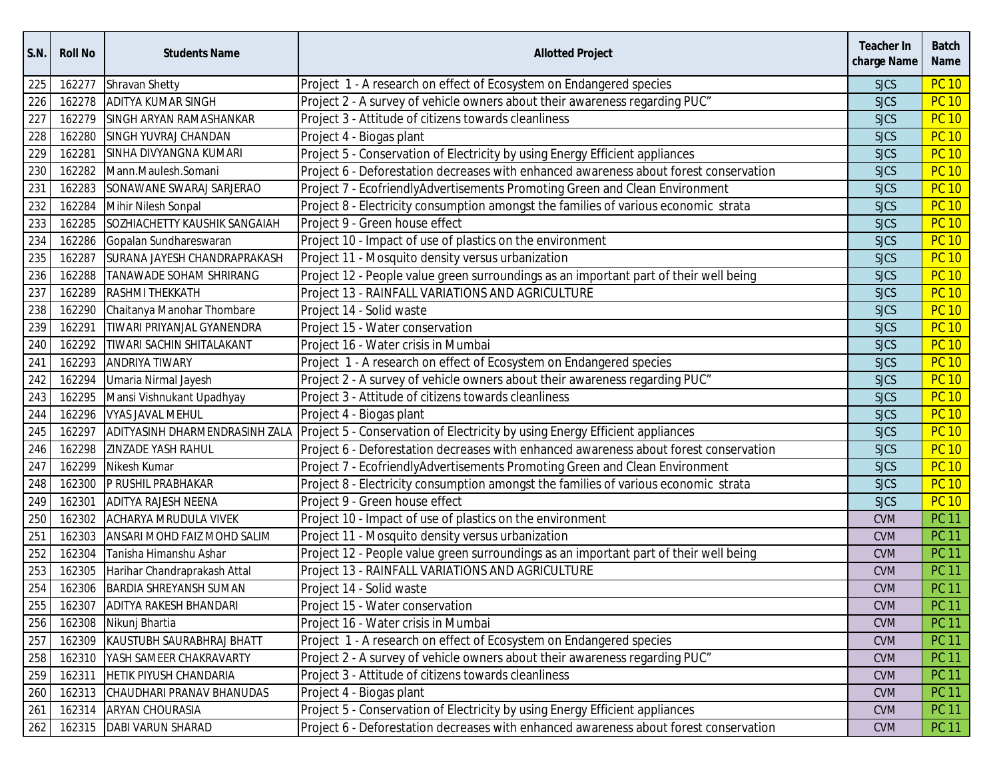| <b>S.N.</b> | <b>Roll No</b> | <b>Students Name</b>             | <b>Allotted Project</b>                                                               | Teacher In<br>charge Name | <b>Batch</b><br>Name |
|-------------|----------------|----------------------------------|---------------------------------------------------------------------------------------|---------------------------|----------------------|
| 225         | 162277         | Shravan Shetty                   | Project 1 - A research on effect of Ecosystem on Endangered species                   | <b>SJCS</b>               | <b>PC 10</b>         |
| 226         | 162278         | <b>ADITYA KUMAR SINGH</b>        | Project 2 - A survey of vehicle owners about their awareness regarding PUC"           | <b>SJCS</b>               | <b>PC 10</b>         |
| 227         | 162279         | SINGH ARYAN RAMASHANKAR          | Project 3 - Attitude of citizens towards cleanliness                                  | <b>SJCS</b>               | <b>PC 10</b>         |
| 228         | 162280         | <b>SINGH YUVRAJ CHANDAN</b>      | Project 4 - Biogas plant                                                              | <b>SJCS</b>               | <b>PC 10</b>         |
| 229         | 162281         | SINHA DIVYANGNA KUMARI           | Project 5 - Conservation of Electricity by using Energy Efficient appliances          | <b>SJCS</b>               | <b>PC 10</b>         |
| 230         | 162282         | Mann.Maulesh.Somani              | Project 6 - Deforestation decreases with enhanced awareness about forest conservation | <b>SJCS</b>               | <b>PC 10</b>         |
| 231         | 162283         | SONAWANE SWARAJ SARJERAO         | Project 7 - EcofriendlyAdvertisements Promoting Green and Clean Environment           | <b>SJCS</b>               | <b>PC 10</b>         |
| 232         | 162284         | Mihir Nilesh Sonpal              | Project 8 - Electricity consumption amongst the families of various economic strata   | <b>SJCS</b>               | <b>PC 10</b>         |
| 233         | 162285         | SOZHIACHETTY KAUSHIK SANGAIAH    | Project 9 - Green house effect                                                        | <b>SJCS</b>               | <b>PC 10</b>         |
| 234         | 162286         | Gopalan Sundhareswaran           | Project 10 - Impact of use of plastics on the environment                             | <b>SJCS</b>               | <b>PC 10</b>         |
| 235         | 162287         | SURANA JAYESH CHANDRAPRAKASH     | Project 11 - Mosquito density versus urbanization                                     | <b>SJCS</b>               | <b>PC 10</b>         |
| 236         | 162288         | TANAWADE SOHAM SHRIRANG          | Project 12 - People value green surroundings as an important part of their well being | <b>SJCS</b>               | <b>PC 10</b>         |
| 237         | 162289         | <b>RASHMI THEKKATH</b>           | Project 13 - RAINFALL VARIATIONS AND AGRICULTURE                                      | <b>SJCS</b>               | <b>PC 10</b>         |
| 238         | 162290         | Chaitanya Manohar Thombare       | Project 14 - Solid waste                                                              | <b>SJCS</b>               | <b>PC 10</b>         |
| 239         | 162291         | TIWARI PRIYANJAL GYANENDRA       | Project 15 - Water conservation                                                       | <b>SJCS</b>               | <b>PC 10</b>         |
| 240         | 162292         | TIWARI SACHIN SHITALAKANT        | Project 16 - Water crisis in Mumbai                                                   | <b>SJCS</b>               | <b>PC 10</b>         |
| 241         | 162293         | <b>ANDRIYA TIWARY</b>            | Project 1 - A research on effect of Ecosystem on Endangered species                   | <b>SJCS</b>               | <b>PC 10</b>         |
| 242         | 162294         | Umaria Nirmal Jayesh             | Project 2 - A survey of vehicle owners about their awareness regarding PUC"           | <b>SJCS</b>               | <b>PC 10</b>         |
| 243         | 162295         | Mansi Vishnukant Upadhyay        | Project 3 - Attitude of citizens towards cleanliness                                  | <b>SJCS</b>               | <b>PC 10</b>         |
| 244         | 162296         | <b>VYAS JAVAL MEHUL</b>          | Project 4 - Biogas plant                                                              | <b>SJCS</b>               | <b>PC 10</b>         |
| 245         | 162297         | ADITYASINH DHARMENDRASINH ZALA   | Project 5 - Conservation of Electricity by using Energy Efficient appliances          | <b>SJCS</b>               | <b>PC 10</b>         |
| 246         | 162298         | <b>ZINZADE YASH RAHUL</b>        | Project 6 - Deforestation decreases with enhanced awareness about forest conservation | <b>SJCS</b>               | <b>PC 10</b>         |
| 247         | 162299         | Nikesh Kumar                     | Project 7 - EcofriendlyAdvertisements Promoting Green and Clean Environment           | <b>SJCS</b>               | <b>PC 10</b>         |
| 248         | 162300         | P RUSHIL PRABHAKAR               | Project 8 - Electricity consumption amongst the families of various economic strata   | <b>SJCS</b>               | <b>PC 10</b>         |
| 249         | 162301         | <b>ADITYA RAJESH NEENA</b>       | Project 9 - Green house effect                                                        | <b>SJCS</b>               | <b>PC 10</b>         |
| 250         | 162302         | <b>ACHARYA MRUDULA VIVEK</b>     | Project 10 - Impact of use of plastics on the environment                             | <b>CVM</b>                | <b>PC 11</b>         |
| 251         | 162303         | ANSARI MOHD FAIZ MOHD SALIM      | Project 11 - Mosquito density versus urbanization                                     | <b>CVM</b>                | <b>PC 11</b>         |
| 252         | 162304         | Tanisha Himanshu Ashar           | Project 12 - People value green surroundings as an important part of their well being | <b>CVM</b>                | <b>PC 11</b>         |
| 253         | 162305         | Harihar Chandraprakash Attal     | Project 13 - RAINFALL VARIATIONS AND AGRICULTURE                                      | <b>CVM</b>                | <b>PC 11</b>         |
| 254         |                | 162306 BARDIA SHREYANSH SUMAN    | Project 14 - Solid waste                                                              | <b>CVM</b>                | <b>PC 11</b>         |
| 255         |                | 162307 ADITYA RAKESH BHANDARI    | Project 15 - Water conservation                                                       | <b>CVM</b>                | <b>PC 11</b>         |
| 256         |                | 162308 Nikunj Bhartia            | Project 16 - Water crisis in Mumbai                                                   | <b>CVM</b>                | <b>PC 11</b>         |
| 257         |                | 162309 KAUSTUBH SAURABHRAJ BHATT | Project 1 - A research on effect of Ecosystem on Endangered species                   | <b>CVM</b>                | <b>PC 11</b>         |
| 258         |                | 162310 YASH SAMEER CHAKRAVARTY   | Project 2 - A survey of vehicle owners about their awareness regarding PUC"           | <b>CVM</b>                | <b>PC 11</b>         |
| 259         |                | 162311 HETIK PIYUSH CHANDARIA    | Project 3 - Attitude of citizens towards cleanliness                                  | <b>CVM</b>                | <b>PC 11</b>         |
| 260         | 162313         | CHAUDHARI PRANAV BHANUDAS        | Project 4 - Biogas plant                                                              | <b>CVM</b>                | <b>PC 11</b>         |
| 261         | 162314         | <b>ARYAN CHOURASIA</b>           | Project 5 - Conservation of Electricity by using Energy Efficient appliances          | <b>CVM</b>                | <b>PC 11</b>         |
| 262         |                | 162315   DABI VARUN SHARAD       | Project 6 - Deforestation decreases with enhanced awareness about forest conservation | <b>CVM</b>                | <b>PC 11</b>         |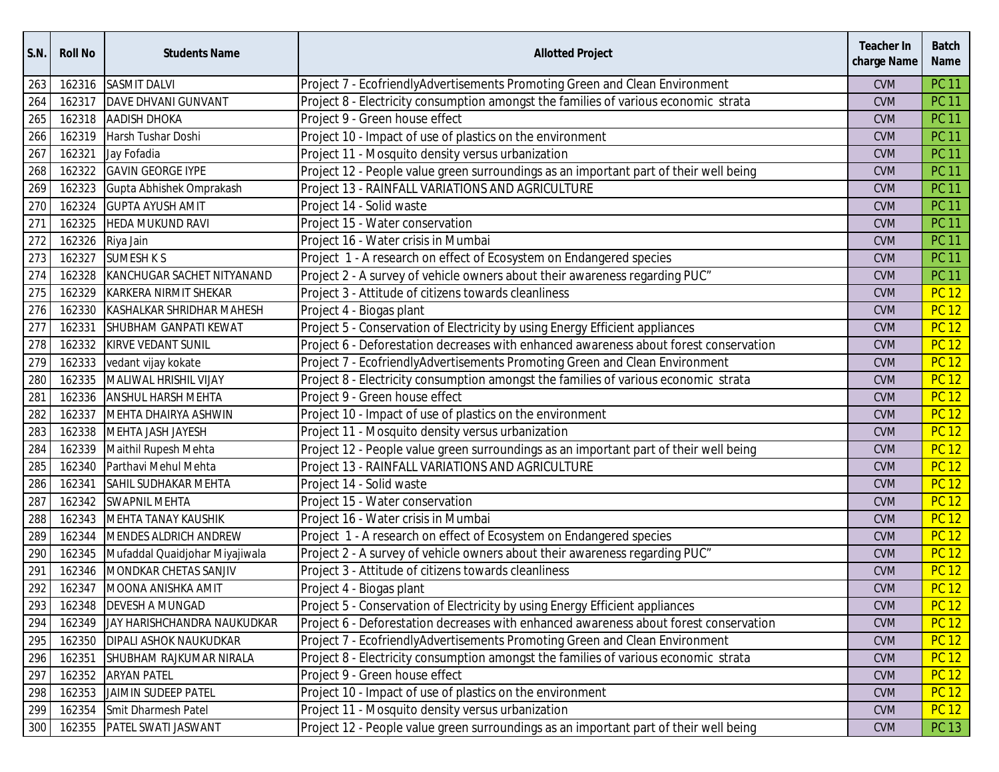| S.N. | <b>Roll No</b> | <b>Students Name</b>             | <b>Allotted Project</b>                                                               | <b>Teacher In</b><br>charge Name | <b>Batch</b><br><b>Name</b> |
|------|----------------|----------------------------------|---------------------------------------------------------------------------------------|----------------------------------|-----------------------------|
| 263  | 162316         | <b>SASMIT DALVI</b>              | Project 7 - EcofriendlyAdvertisements Promoting Green and Clean Environment           | <b>CVM</b>                       | <b>PC 11</b>                |
| 264  | 162317         | DAVE DHVANI GUNVANT              | Project 8 - Electricity consumption amongst the families of various economic strata   | <b>CVM</b>                       | <b>PC 11</b>                |
| 265  | 162318         | <b>AADISH DHOKA</b>              | Project 9 - Green house effect                                                        | <b>CVM</b>                       | <b>PC 11</b>                |
| 266  | 162319         | Harsh Tushar Doshi               | Project 10 - Impact of use of plastics on the environment                             | <b>CVM</b>                       | <b>PC 11</b>                |
| 267  | 162321         | Jay Fofadia                      | Project 11 - Mosquito density versus urbanization                                     | <b>CVM</b>                       | <b>PC 11</b>                |
| 268  | 162322         | <b>GAVIN GEORGE IYPE</b>         | Project 12 - People value green surroundings as an important part of their well being | <b>CVM</b>                       | <b>PC 11</b>                |
| 269  | 162323         | Gupta Abhishek Omprakash         | Project 13 - RAINFALL VARIATIONS AND AGRICULTURE                                      | <b>CVM</b>                       | <b>PC 11</b>                |
| 270  | 162324         | <b>GUPTA AYUSH AMIT</b>          | Project 14 - Solid waste                                                              | <b>CVM</b>                       | <b>PC 11</b>                |
| 271  | 162325         | <b>HEDA MUKUND RAVI</b>          | Project 15 - Water conservation                                                       | <b>CVM</b>                       | <b>PC 11</b>                |
| 272  | 162326         | Riya Jain                        | Project 16 - Water crisis in Mumbai                                                   | <b>CVM</b>                       | <b>PC 11</b>                |
| 273  | 162327         | <b>SUMESH K S</b>                | Project 1 - A research on effect of Ecosystem on Endangered species                   | <b>CVM</b>                       | <b>PC 11</b>                |
| 274  | 162328         | KANCHUGAR SACHET NITYANAND       | Project 2 - A survey of vehicle owners about their awareness regarding PUC"           | <b>CVM</b>                       | <b>PC 11</b>                |
| 275  | 162329         | KARKERA NIRMIT SHEKAR            | Project 3 - Attitude of citizens towards cleanliness                                  | <b>CVM</b>                       | <b>PC 12</b>                |
| 276  | 162330         | <b>KASHALKAR SHRIDHAR MAHESH</b> | Project 4 - Biogas plant                                                              | <b>CVM</b>                       | <b>PC 12</b>                |
| 277  | 162331         | SHUBHAM GANPATI KEWAT            | Project 5 - Conservation of Electricity by using Energy Efficient appliances          | <b>CVM</b>                       | <b>PC 12</b>                |
| 278  | 162332         | KIRVE VEDANT SUNIL               | Project 6 - Deforestation decreases with enhanced awareness about forest conservation | <b>CVM</b>                       | <b>PC 12</b>                |
| 279  | 162333         | vedant vijay kokate              | Project 7 - EcofriendlyAdvertisements Promoting Green and Clean Environment           | <b>CVM</b>                       | <b>PC 12</b>                |
| 280  | 162335         | MALIWAL HRISHIL VIJAY            | Project 8 - Electricity consumption amongst the families of various economic strata   | <b>CVM</b>                       | <b>PC 12</b>                |
| 281  | 162336         | <b>ANSHUL HARSH MEHTA</b>        | Project 9 - Green house effect                                                        | <b>CVM</b>                       | <b>PC 12</b>                |
| 282  | 162337         | MEHTA DHAIRYA ASHWIN             | Project 10 - Impact of use of plastics on the environment                             | <b>CVM</b>                       | <b>PC 12</b>                |
| 283  | 162338         | <b>MEHTA JASH JAYESH</b>         | Project 11 - Mosquito density versus urbanization                                     | <b>CVM</b>                       | <b>PC 12</b>                |
| 284  | 162339         | Maithil Rupesh Mehta             | Project 12 - People value green surroundings as an important part of their well being | <b>CVM</b>                       | <b>PC 12</b>                |
| 285  | 162340         | Parthavi Mehul Mehta             | Project 13 - RAINFALL VARIATIONS AND AGRICULTURE                                      | <b>CVM</b>                       | <b>PC 12</b>                |
| 286  | 162341         | SAHIL SUDHAKAR MEHTA             | Project 14 - Solid waste                                                              | <b>CVM</b>                       | <b>PC 12</b>                |
| 287  | 162342         | <b>SWAPNIL MEHTA</b>             | Project 15 - Water conservation                                                       | <b>CVM</b>                       | <b>PC 12</b>                |
| 288  | 162343         | <b>MEHTA TANAY KAUSHIK</b>       | Project 16 - Water crisis in Mumbai                                                   | <b>CVM</b>                       | <b>PC 12</b>                |
| 289  | 162344         | MENDES ALDRICH ANDREW            | Project 1 - A research on effect of Ecosystem on Endangered species                   | <b>CVM</b>                       | <b>PC 12</b>                |
| 290  | 162345         | Mufaddal Quaidjohar Miyajiwala   | Project 2 - A survey of vehicle owners about their awareness regarding PUC"           | <b>CVM</b>                       | <b>PC 12</b>                |
| 291  | 162346         | MONDKAR CHETAS SANJIV            | Project 3 - Attitude of citizens towards cleanliness                                  | <b>CVM</b>                       | <b>PC 12</b>                |
| 292  | 162347         | MOONA ANISHKA AMIT               | Project 4 - Biogas plant                                                              | <b>CVM</b>                       | <b>PC 12</b>                |
| 293  |                | 162348 DEVESH A MUNGAD           | Project 5 - Conservation of Electricity by using Energy Efficient appliances          | <b>CVM</b>                       | PC 12                       |
| 294  | 162349         | JAY HARISHCHANDRA NAUKUDKAR      | Project 6 - Deforestation decreases with enhanced awareness about forest conservation | <b>CVM</b>                       | <b>PC 12</b>                |
| 295  | 162350         | <b>DIPALI ASHOK NAUKUDKAR</b>    | Project 7 - EcofriendlyAdvertisements Promoting Green and Clean Environment           | <b>CVM</b>                       | <b>PC 12</b>                |
| 296  | 162351         | SHUBHAM RAJKUMAR NIRALA          | Project 8 - Electricity consumption amongst the families of various economic strata   | <b>CVM</b>                       | PC 12                       |
| 297  | 162352         | <b>ARYAN PATEL</b>               | Project 9 - Green house effect                                                        | <b>CVM</b>                       | <b>PC 12</b>                |
| 298  | 162353         | JAIMIN SUDEEP PATEL              | Project 10 - Impact of use of plastics on the environment                             | <b>CVM</b>                       | <b>PC 12</b>                |
| 299  | 162354         | Smit Dharmesh Patel              | Project 11 - Mosquito density versus urbanization                                     | <b>CVM</b>                       | <b>PC 12</b>                |
| 300  |                | 162355 PATEL SWATI JASWANT       | Project 12 - People value green surroundings as an important part of their well being | <b>CVM</b>                       | PC 13                       |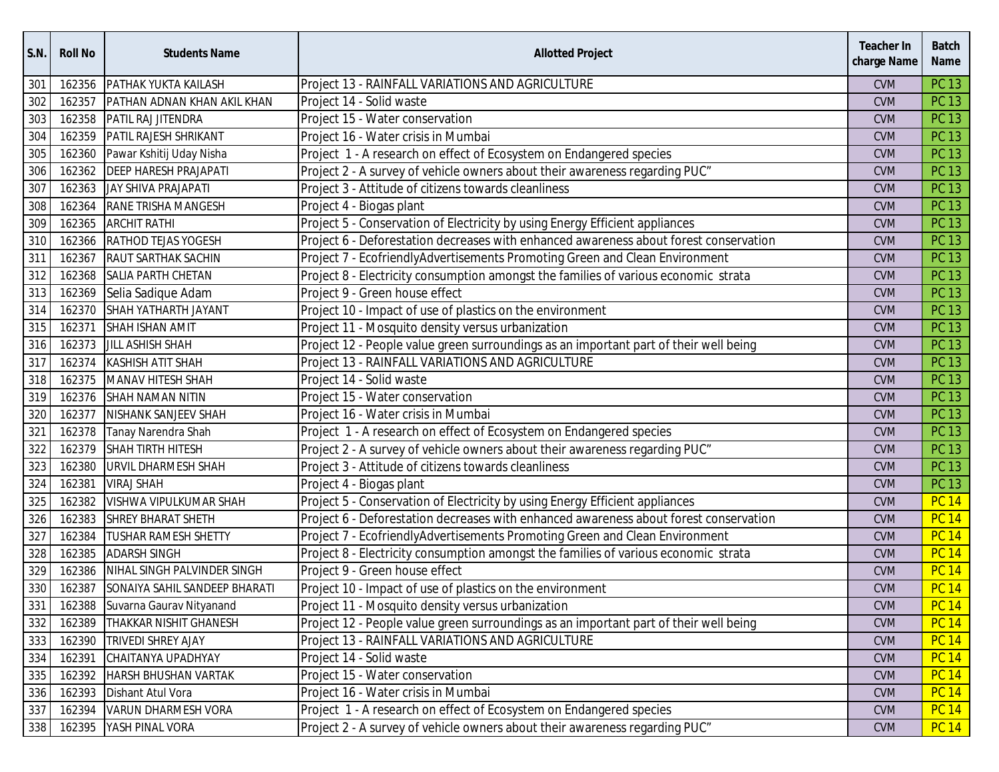| <b>S.N.</b> | <b>Roll No</b> | <b>Students Name</b>            | <b>Allotted Project</b>                                                               | <b>Teacher In</b><br>charge Name | <b>Batch</b><br><b>Name</b> |
|-------------|----------------|---------------------------------|---------------------------------------------------------------------------------------|----------------------------------|-----------------------------|
| 301         | 162356         | PATHAK YUKTA KAILASH            | Project 13 - RAINFALL VARIATIONS AND AGRICULTURE                                      | <b>CVM</b>                       | <b>PC 13</b>                |
| 302         | 162357         | PATHAN ADNAN KHAN AKIL KHAN     | Project 14 - Solid waste                                                              | <b>CVM</b>                       | <b>PC 13</b>                |
| 303         | 162358         | PATIL RAJ JITENDRA              | Project 15 - Water conservation                                                       | <b>CVM</b>                       | <b>PC 13</b>                |
| 304         | 162359         | PATIL RAJESH SHRIKANT           | Project 16 - Water crisis in Mumbai                                                   | <b>CVM</b>                       | <b>PC 13</b>                |
| 305         | 162360         | Pawar Kshitij Uday Nisha        | Project 1 - A research on effect of Ecosystem on Endangered species                   | <b>CVM</b>                       | <b>PC 13</b>                |
| 306         | 162362         | <b>DEEP HARESH PRAJAPATI</b>    | Project 2 - A survey of vehicle owners about their awareness regarding PUC"           | <b>CVM</b>                       | <b>PC 13</b>                |
| 307         | 162363         | JAY SHIVA PRAJAPATI             | Project 3 - Attitude of citizens towards cleanliness                                  | <b>CVM</b>                       | <b>PC 13</b>                |
| 308         | 162364         | <b>RANE TRISHA MANGESH</b>      | Project 4 - Biogas plant                                                              | <b>CVM</b>                       | <b>PC 13</b>                |
| 309         | 162365         | <b>ARCHIT RATHI</b>             | Project 5 - Conservation of Electricity by using Energy Efficient appliances          | <b>CVM</b>                       | <b>PC 13</b>                |
| 310         | 162366         | <b>RATHOD TEJAS YOGESH</b>      | Project 6 - Deforestation decreases with enhanced awareness about forest conservation | <b>CVM</b>                       | <b>PC 13</b>                |
| 311         | 162367         | <b>RAUT SARTHAK SACHIN</b>      | Project 7 - EcofriendlyAdvertisements Promoting Green and Clean Environment           | <b>CVM</b>                       | <b>PC 13</b>                |
| 312         | 162368         | <b>SALIA PARTH CHETAN</b>       | Project 8 - Electricity consumption amongst the families of various economic strata   | <b>CVM</b>                       | <b>PC 13</b>                |
| 313         | 162369         | Selia Sadique Adam              | Project 9 - Green house effect                                                        | <b>CVM</b>                       | <b>PC 13</b>                |
| 314         | 162370         | SHAH YATHARTH JAYANT            | Project 10 - Impact of use of plastics on the environment                             | <b>CVM</b>                       | <b>PC 13</b>                |
| 315         | 162371         | SHAH ISHAN AMIT                 | Project 11 - Mosquito density versus urbanization                                     | <b>CVM</b>                       | <b>PC 13</b>                |
| 316         | 162373         | <b>JILL ASHISH SHAH</b>         | Project 12 - People value green surroundings as an important part of their well being | <b>CVM</b>                       | <b>PC 13</b>                |
| 317         | 162374         | <b>KASHISH ATIT SHAH</b>        | Project 13 - RAINFALL VARIATIONS AND AGRICULTURE                                      | <b>CVM</b>                       | <b>PC 13</b>                |
| 318         | 162375         | <b>MANAV HITESH SHAH</b>        | Project 14 - Solid waste                                                              | <b>CVM</b>                       | <b>PC 13</b>                |
| 319         | 162376         | <b>SHAH NAMAN NITIN</b>         | Project 15 - Water conservation                                                       | <b>CVM</b>                       | <b>PC 13</b>                |
| 320         | 162377         | NISHANK SANJEEV SHAH            | Project 16 - Water crisis in Mumbai                                                   | <b>CVM</b>                       | <b>PC 13</b>                |
| 321         | 162378         | Tanay Narendra Shah             | Project 1 - A research on effect of Ecosystem on Endangered species                   | <b>CVM</b>                       | <b>PC 13</b>                |
| 322         | 162379         | <b>SHAH TIRTH HITESH</b>        | Project 2 - A survey of vehicle owners about their awareness regarding PUC"           | <b>CVM</b>                       | <b>PC 13</b>                |
| 323         | 162380         | URVIL DHARMESH SHAH             | Project 3 - Attitude of citizens towards cleanliness                                  | <b>CVM</b>                       | <b>PC 13</b>                |
| 324         | 162381         | <b>VIRAJ SHAH</b>               | Project 4 - Biogas plant                                                              | <b>CVM</b>                       | <b>PC 13</b>                |
| 325         | 162382         | VISHWA VIPULKUMAR SHAH          | Project 5 - Conservation of Electricity by using Energy Efficient appliances          | <b>CVM</b>                       | <b>PC 14</b>                |
| 326         | 162383         | <b>SHREY BHARAT SHETH</b>       | Project 6 - Deforestation decreases with enhanced awareness about forest conservation | <b>CVM</b>                       | <b>PC 14</b>                |
| 327         | 162384         | <b>TUSHAR RAMESH SHETTY</b>     | Project 7 - EcofriendlyAdvertisements Promoting Green and Clean Environment           | <b>CVM</b>                       | <b>PC 14</b>                |
| 328         | 162385         | <b>ADARSH SINGH</b>             | Project 8 - Electricity consumption amongst the families of various economic strata   | <b>CVM</b>                       | <b>PC 14</b>                |
| 329         | 162386         | NIHAL SINGH PALVINDER SINGH     | Project 9 - Green house effect                                                        | <b>CVM</b>                       | <b>PC 14</b>                |
| 330         | 162387         | SONAIYA SAHIL SANDEEP BHARATI   | Project 10 - Impact of use of plastics on the environment                             | <b>CVM</b>                       | <b>PC 14</b>                |
| 331         |                | 162388 Suvarna Gaurav Nityanand | Project 11 - Mosquito density versus urbanization                                     | <b>CVM</b>                       | <b>PC 14</b>                |
| 332         | 162389         | THAKKAR NISHIT GHANESH          | Project 12 - People value green surroundings as an important part of their well being | <b>CVM</b>                       | <b>PC 14</b>                |
| 333         | 162390         | <b>TRIVEDI SHREY AJAY</b>       | Project 13 - RAINFALL VARIATIONS AND AGRICULTURE                                      | <b>CVM</b>                       | <b>PC 14</b>                |
| 334         | 162391         | CHAITANYA UPADHYAY              | Project 14 - Solid waste                                                              | <b>CVM</b>                       | <b>PC 14</b>                |
| 335         | 162392         | <b>HARSH BHUSHAN VARTAK</b>     | Project 15 - Water conservation                                                       | <b>CVM</b>                       | <b>PC 14</b>                |
| 336         | 162393         | Dishant Atul Vora               | Project 16 - Water crisis in Mumbai                                                   | <b>CVM</b>                       | <b>PC 14</b>                |
| 337         | 162394         | <b>VARUN DHARMESH VORA</b>      | Project 1 - A research on effect of Ecosystem on Endangered species                   | <b>CVM</b>                       | <b>PC 14</b>                |
| 338         | 162395         | YASH PINAL VORA                 | Project 2 - A survey of vehicle owners about their awareness regarding PUC"           | <b>CVM</b>                       | <b>PC 14</b>                |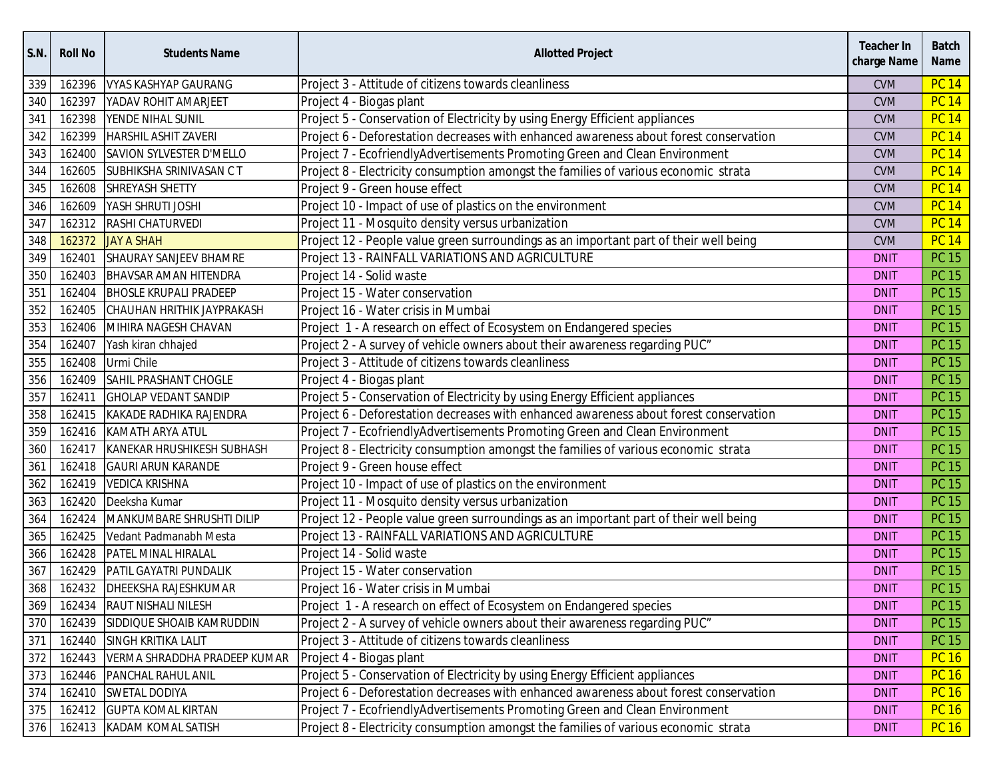| <b>S.N.</b> | <b>Roll No</b> | <b>Students Name</b>          | <b>Allotted Project</b>                                                               | Teacher In<br>charge Name | <b>Batch</b><br><b>Name</b> |
|-------------|----------------|-------------------------------|---------------------------------------------------------------------------------------|---------------------------|-----------------------------|
| 339         | 162396         | <b>VYAS KASHYAP GAURANG</b>   | Project 3 - Attitude of citizens towards cleanliness                                  | <b>CVM</b>                | <b>PC 14</b>                |
| 340         | 162397         | YADAV ROHIT AMARJEET          | Project 4 - Biogas plant                                                              | <b>CVM</b>                | <b>PC 14</b>                |
| 341         | 162398         | YENDE NIHAL SUNIL             | Project 5 - Conservation of Electricity by using Energy Efficient appliances          | <b>CVM</b>                | <b>PC 14</b>                |
| 342         | 162399         | <b>HARSHIL ASHIT ZAVERI</b>   | Project 6 - Deforestation decreases with enhanced awareness about forest conservation | <b>CVM</b>                | <b>PC 14</b>                |
| 343         | 162400         | SAVION SYLVESTER D'MELLO      | Project 7 - EcofriendlyAdvertisements Promoting Green and Clean Environment           | <b>CVM</b>                | <b>PC 14</b>                |
| 344         | 162605         | SUBHIKSHA SRINIVASAN CT       | Project 8 - Electricity consumption amongst the families of various economic strata   | <b>CVM</b>                | <b>PC 14</b>                |
| 345         | 162608         | SHREYASH SHETTY               | Project 9 - Green house effect                                                        | <b>CVM</b>                | <b>PC 14</b>                |
| 346         | 162609         | YASH SHRUTI JOSHI             | Project 10 - Impact of use of plastics on the environment                             | <b>CVM</b>                | <b>PC 14</b>                |
| 347         | 162312         | RASHI CHATURVEDI              | Project 11 - Mosquito density versus urbanization                                     | <b>CVM</b>                | <b>PC 14</b>                |
| 348         | 162372         | <b>JAY A SHAH</b>             | Project 12 - People value green surroundings as an important part of their well being | <b>CVM</b>                | <b>PC 14</b>                |
| 349         | 162401         | <b>SHAURAY SANJEEV BHAMRE</b> | Project 13 - RAINFALL VARIATIONS AND AGRICULTURE                                      | <b>DNIT</b>               | <b>PC 15</b>                |
| 350         | 162403         | <b>BHAVSAR AMAN HITENDRA</b>  | Project 14 - Solid waste                                                              | <b>DNIT</b>               | <b>PC 15</b>                |
| 351         | 162404         | <b>BHOSLE KRUPALI PRADEEP</b> | Project 15 - Water conservation                                                       | <b>DNIT</b>               | <b>PC 15</b>                |
| 352         | 162405         | CHAUHAN HRITHIK JAYPRAKASH    | Project 16 - Water crisis in Mumbai                                                   | <b>DNIT</b>               | <b>PC 15</b>                |
| 353         | 162406         | MIHIRA NAGESH CHAVAN          | Project 1 - A research on effect of Ecosystem on Endangered species                   | <b>DNIT</b>               | <b>PC 15</b>                |
| 354         | 162407         | Yash kiran chhajed            | Project 2 - A survey of vehicle owners about their awareness regarding PUC"           | <b>DNIT</b>               | <b>PC 15</b>                |
| 355         | 162408         | Urmi Chile                    | Project 3 - Attitude of citizens towards cleanliness                                  | <b>DNIT</b>               | <b>PC 15</b>                |
| 356         | 162409         | SAHIL PRASHANT CHOGLE         | Project 4 - Biogas plant                                                              | <b>DNIT</b>               | <b>PC 15</b>                |
| 357         | 162411         | <b>GHOLAP VEDANT SANDIP</b>   | Project 5 - Conservation of Electricity by using Energy Efficient appliances          | <b>DNIT</b>               | <b>PC 15</b>                |
| 358         | 162415         | KAKADE RADHIKA RAJENDRA       | Project 6 - Deforestation decreases with enhanced awareness about forest conservation | <b>DNIT</b>               | <b>PC 15</b>                |
| 359         |                | 162416 KAMATH ARYA ATUL       | Project 7 - EcofriendlyAdvertisements Promoting Green and Clean Environment           | <b>DNIT</b>               | <b>PC 15</b>                |
| 360         | 162417         | KANEKAR HRUSHIKESH SUBHASH    | Project 8 - Electricity consumption amongst the families of various economic strata   | <b>DNIT</b>               | <b>PC 15</b>                |
| 361         | 162418         | <b>GAURI ARUN KARANDE</b>     | Project 9 - Green house effect                                                        | <b>DNIT</b>               | <b>PC 15</b>                |
| 362         | 162419         | <b>VEDICA KRISHNA</b>         | Project 10 - Impact of use of plastics on the environment                             | <b>DNIT</b>               | <b>PC 15</b>                |
| 363         | 162420         | Deeksha Kumar                 | Project 11 - Mosquito density versus urbanization                                     | <b>DNIT</b>               | <b>PC 15</b>                |
| 364         | 162424         | MANKUMBARE SHRUSHTI DILIP     | Project 12 - People value green surroundings as an important part of their well being | <b>DNIT</b>               | <b>PC 15</b>                |
| 365         | 162425         | Vedant Padmanabh Mesta        | Project 13 - RAINFALL VARIATIONS AND AGRICULTURE                                      | <b>DNIT</b>               | <b>PC 15</b>                |
| 366         | 162428         | PATEL MINAL HIRALAL           | Project 14 - Solid waste                                                              | <b>DNIT</b>               | <b>PC 15</b>                |
| 367         | 162429         | PATIL GAYATRI PUNDALIK        | Project 15 - Water conservation                                                       | <b>DNIT</b>               | <b>PC 15</b>                |
| 368         |                | 162432 DHEEKSHA RAJESHKUMAR   | Project 16 - Water crisis in Mumbai                                                   | <b>DNIT</b>               | <b>PC 15</b>                |
| 369         |                | 162434 RAUT NISHALI NILESH    | Project 1 - A research on effect of Ecosystem on Endangered species                   | <b>DNIT</b>               | PC 15                       |
| 370         | 162439         | SIDDIQUE SHOAIB KAMRUDDIN     | Project 2 - A survey of vehicle owners about their awareness regarding PUC"           | <b>DNIT</b>               | PC 15                       |
| 371         |                | 162440 SINGH KRITIKA LALIT    | Project 3 - Attitude of citizens towards cleanliness                                  | <b>DNIT</b>               | <b>PC 15</b>                |
| 372         | 162443         | VERMA SHRADDHA PRADEEP KUMAR  | Project 4 - Biogas plant                                                              | <b>DNIT</b>               | <b>PC 16</b>                |
| 373         |                | 162446 PANCHAL RAHUL ANIL     | Project 5 - Conservation of Electricity by using Energy Efficient appliances          | <b>DNIT</b>               | <b>PC 16</b>                |
| 374         | 162410         | <b>SWETAL DODIYA</b>          | Project 6 - Deforestation decreases with enhanced awareness about forest conservation | <b>DNIT</b>               | <b>PC 16</b>                |
| 375         |                | 162412 GUPTA KOMAL KIRTAN     | Project 7 - EcofriendlyAdvertisements Promoting Green and Clean Environment           | <b>DNIT</b>               | <b>PC 16</b>                |
| 376         |                | 162413 KADAM KOMAL SATISH     | Project 8 - Electricity consumption amongst the families of various economic strata   | <b>DNIT</b>               | <b>PC 16</b>                |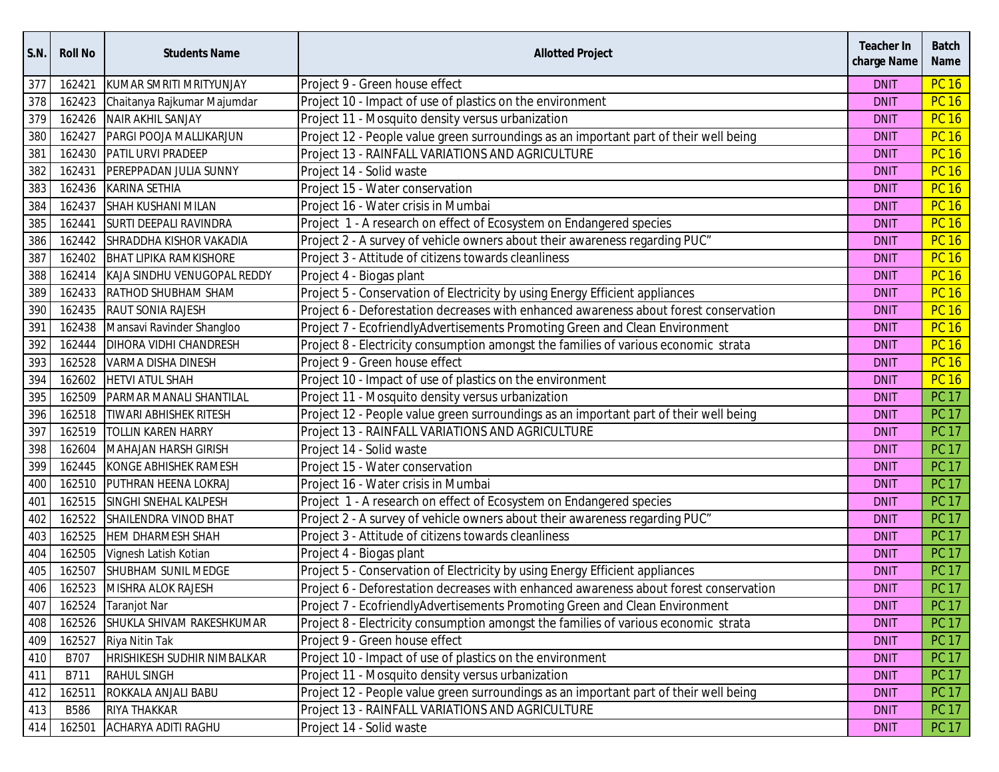| S.N. | <b>Roll No</b> | <b>Students Name</b>          | <b>Allotted Project</b>                                                               | <b>Teacher In</b><br>charge Name | <b>Batch</b><br><b>Name</b> |
|------|----------------|-------------------------------|---------------------------------------------------------------------------------------|----------------------------------|-----------------------------|
| 377  | 162421         | KUMAR SMRITI MRITYUNJAY       | Project 9 - Green house effect                                                        | <b>DNIT</b>                      | <b>PC 16</b>                |
| 378  | 162423         | Chaitanya Rajkumar Majumdar   | Project 10 - Impact of use of plastics on the environment                             | <b>DNIT</b>                      | <b>PC 16</b>                |
| 379  | 162426         | NAIR AKHIL SANJAY             | Project 11 - Mosquito density versus urbanization                                     | <b>DNIT</b>                      | <b>PC 16</b>                |
| 380  | 162427         | PARGI POOJA MALLIKARJUN       | Project 12 - People value green surroundings as an important part of their well being | <b>DNIT</b>                      | <b>PC 16</b>                |
| 381  | 162430         | PATIL URVI PRADEEP            | Project 13 - RAINFALL VARIATIONS AND AGRICULTURE                                      | <b>DNIT</b>                      | <b>PC 16</b>                |
| 382  | 162431         | PEREPPADAN JULIA SUNNY        | Project 14 - Solid waste                                                              | <b>DNIT</b>                      | <b>PC 16</b>                |
| 383  | 162436         | <b>KARINA SETHIA</b>          | Project 15 - Water conservation                                                       | <b>DNIT</b>                      | <b>PC 16</b>                |
| 384  | 162437         | <b>SHAH KUSHANI MILAN</b>     | Project 16 - Water crisis in Mumbai                                                   | <b>DNIT</b>                      | <b>PC 16</b>                |
| 385  | 162441         | <b>SURTI DEEPALI RAVINDRA</b> | Project 1 - A research on effect of Ecosystem on Endangered species                   | <b>DNIT</b>                      | <b>PC 16</b>                |
| 386  | 162442         | SHRADDHA KISHOR VAKADIA       | Project 2 - A survey of vehicle owners about their awareness regarding PUC"           | <b>DNIT</b>                      | <b>PC 16</b>                |
| 387  | 162402         | <b>BHAT LIPIKA RAMKISHORE</b> | Project 3 - Attitude of citizens towards cleanliness                                  | <b>DNIT</b>                      | <b>PC 16</b>                |
| 388  | 162414         | KAJA SINDHU VENUGOPAL REDDY   | Project 4 - Biogas plant                                                              | <b>DNIT</b>                      | <b>PC 16</b>                |
| 389  | 162433         | RATHOD SHUBHAM SHAM           | Project 5 - Conservation of Electricity by using Energy Efficient appliances          | <b>DNIT</b>                      | <b>PC 16</b>                |
| 390  | 162435         | <b>RAUT SONIA RAJESH</b>      | Project 6 - Deforestation decreases with enhanced awareness about forest conservation | <b>DNIT</b>                      | <b>PC 16</b>                |
| 391  | 162438         | Mansavi Ravinder Shangloo     | Project 7 - EcofriendlyAdvertisements Promoting Green and Clean Environment           | <b>DNIT</b>                      | <b>PC 16</b>                |
| 392  | 162444         | <b>DIHORA VIDHI CHANDRESH</b> | Project 8 - Electricity consumption amongst the families of various economic strata   | <b>DNIT</b>                      | <b>PC 16</b>                |
| 393  | 162528         | <b>VARMA DISHA DINESH</b>     | Project 9 - Green house effect                                                        | <b>DNIT</b>                      | <b>PC 16</b>                |
| 394  | 162602         | <b>HETVI ATUL SHAH</b>        | Project 10 - Impact of use of plastics on the environment                             | <b>DNIT</b>                      | <b>PC 16</b>                |
| 395  | 162509         | PARMAR MANALI SHANTILAL       | Project 11 - Mosquito density versus urbanization                                     | <b>DNIT</b>                      | <b>PC 17</b>                |
| 396  | 162518         | <b>TIWARI ABHISHEK RITESH</b> | Project 12 - People value green surroundings as an important part of their well being | <b>DNIT</b>                      | <b>PC 17</b>                |
| 397  | 162519         | <b>TOLLIN KAREN HARRY</b>     | Project 13 - RAINFALL VARIATIONS AND AGRICULTURE                                      | <b>DNIT</b>                      | <b>PC 17</b>                |
| 398  | 162604         | <b>MAHAJAN HARSH GIRISH</b>   | Project 14 - Solid waste                                                              | <b>DNIT</b>                      | <b>PC 17</b>                |
| 399  | 162445         | KONGE ABHISHEK RAMESH         | Project 15 - Water conservation                                                       | <b>DNIT</b>                      | <b>PC 17</b>                |
| 400  | 162510         | PUTHRAN HEENA LOKRAJ          | Project 16 - Water crisis in Mumbai                                                   | <b>DNIT</b>                      | <b>PC 17</b>                |
| 401  | 162515         | SINGHI SNEHAL KALPESH         | Project 1 - A research on effect of Ecosystem on Endangered species                   | <b>DNIT</b>                      | <b>PC 17</b>                |
| 402  | 162522         | SHAILENDRA VINOD BHAT         | Project 2 - A survey of vehicle owners about their awareness regarding PUC"           | <b>DNIT</b>                      | <b>PC 17</b>                |
| 403  | 162525         | <b>HEM DHARMESH SHAH</b>      | Project 3 - Attitude of citizens towards cleanliness                                  | <b>DNIT</b>                      | <b>PC 17</b>                |
| 404  | 162505         | Vignesh Latish Kotian         | Project 4 - Biogas plant                                                              | <b>DNIT</b>                      | <b>PC 17</b>                |
| 405  | 162507         | SHUBHAM SUNIL MEDGE           | Project 5 - Conservation of Electricity by using Energy Efficient appliances          | <b>DNIT</b>                      | <b>PC 17</b>                |
| 406  | 162523         | MISHRA ALOK RAJESH            | Project 6 - Deforestation decreases with enhanced awareness about forest conservation | <b>DNIT</b>                      | <b>PC 17</b>                |
| 407  |                | 162524 Taranjot Nar           | Project 7 - EcofriendlyAdvertisements Promoting Green and Clean Environment           | <b>DNIT</b>                      | PC 17                       |
| 408  | 162526         | SHUKLA SHIVAM RAKESHKUMAR     | Project 8 - Electricity consumption amongst the families of various economic strata   | <b>DNIT</b>                      | PC 17                       |
| 409  | 162527         | Riya Nitin Tak                | Project 9 - Green house effect                                                        | <b>DNIT</b>                      | <b>PC 17</b>                |
| 410  | B707           | HRISHIKESH SUDHIR NIMBALKAR   | Project 10 - Impact of use of plastics on the environment                             | <b>DNIT</b>                      | <b>PC 17</b>                |
| 411  | B711           | <b>RAHUL SINGH</b>            | Project 11 - Mosquito density versus urbanization                                     | <b>DNIT</b>                      | <b>PC 17</b>                |
| 412  | 162511         | ROKKALA ANJALI BABU           | Project 12 - People value green surroundings as an important part of their well being | <b>DNIT</b>                      | <b>PC 17</b>                |
| 413  | <b>B586</b>    | RIYA THAKKAR                  | Project 13 - RAINFALL VARIATIONS AND AGRICULTURE                                      | <b>DNIT</b>                      | <b>PC 17</b>                |
| 414  | 162501         | ACHARYA ADITI RAGHU           | Project 14 - Solid waste                                                              | <b>DNIT</b>                      | PC 17                       |